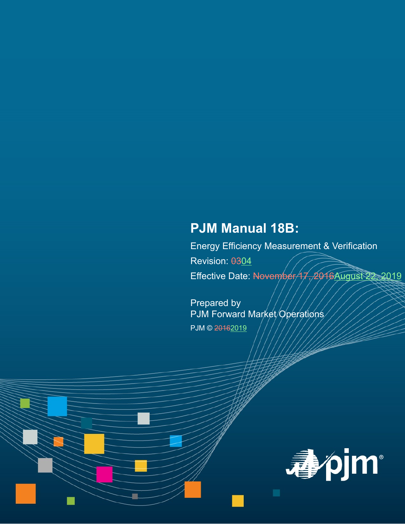# **PJM Manual 18B:**

Energy Efficiency Measurement & Verification Revision: 0304 Effective Date: November/17, 2016August 22, 2019

Prepared by PJM Forward Market/Operations PJM © 20162019

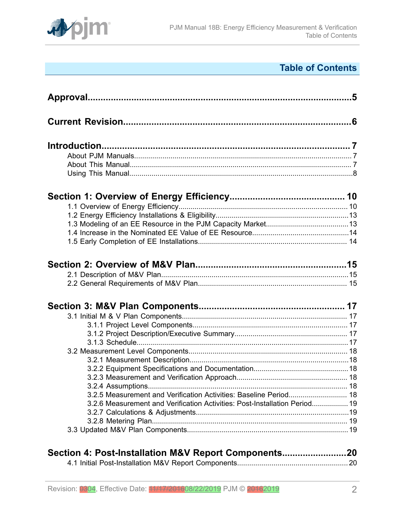

# **Table of Contents**

| 3.2.5 Measurement and Verification Activities: Baseline Period 18          |  |
|----------------------------------------------------------------------------|--|
| 3.2.6 Measurement and Verification Activities: Post-Installation Period 19 |  |
|                                                                            |  |
|                                                                            |  |
|                                                                            |  |
| Section 4: Post-Installation M&V Report Components20                       |  |

[4.1 Initial Post-Installation M&V Report Components.......................................................](#page-19-1) 20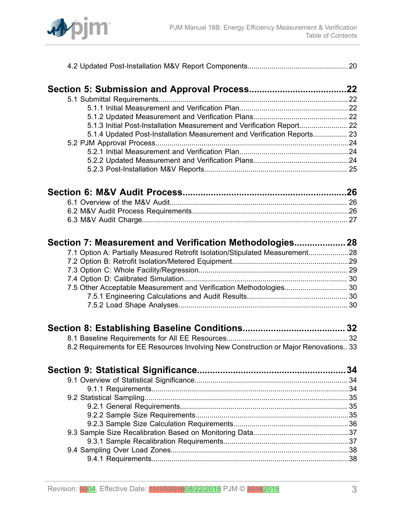

|--|--|

| 5.1.3 Initial Post-Installation Measurement and Verification Report 22  |  |
|-------------------------------------------------------------------------|--|
| 5.1.4 Updated Post-Installation Measurement and Verification Reports 23 |  |
|                                                                         |  |
|                                                                         |  |
|                                                                         |  |
|                                                                         |  |
|                                                                         |  |

| Section 7: Measurement and Verification Methodologies 28                     |
|------------------------------------------------------------------------------|
| 7.1 Option A: Partially Measured Retrofit Isolation/Stipulated Measurement28 |
|                                                                              |
|                                                                              |
|                                                                              |
|                                                                              |
|                                                                              |
|                                                                              |
|                                                                              |

| 8.2 Requirements for EE Resources Involving New Construction or Major Renovations 33 |  |
|--------------------------------------------------------------------------------------|--|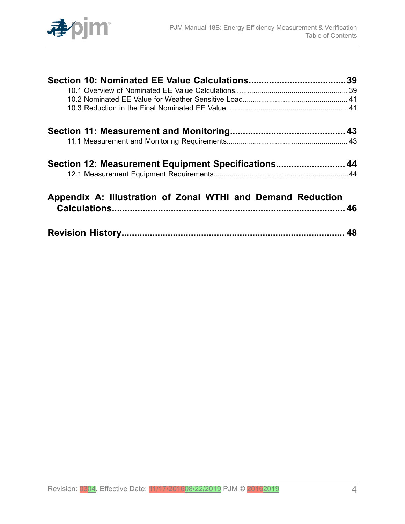

| Section 12: Measurement Equipment Specifications 44         |  |
|-------------------------------------------------------------|--|
|                                                             |  |
| Appendix A: Illustration of Zonal WTHI and Demand Reduction |  |
|                                                             |  |
|                                                             |  |
|                                                             |  |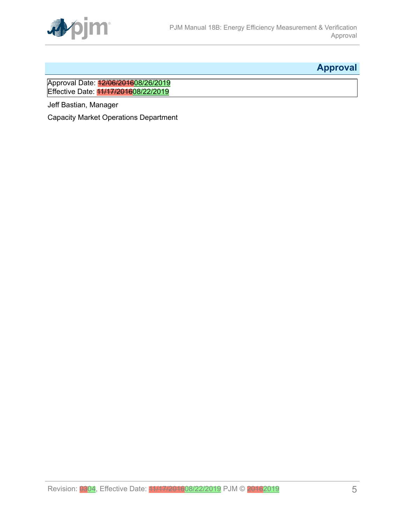

# <span id="page-4-0"></span>**Approval**

Approval Date: 12/06/201608/26/2019 Effective Date: 11/17/201608/22/2019

Jeff Bastian, Manager

Capacity Market Operations Department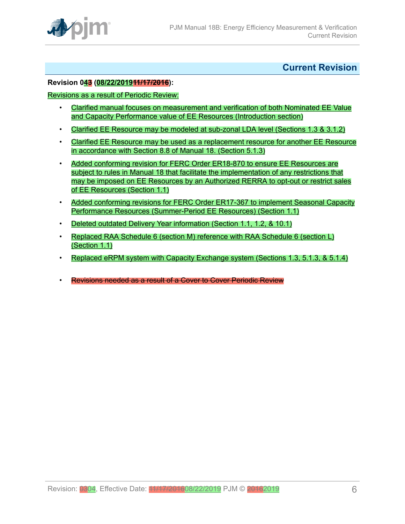

<span id="page-5-0"></span>**Current Revision**

#### **Revision 043 (08/22/201911/17/2016):**

#### Revisions as a result of Periodic Review:

- Clarified manual focuses on measurement and verification of both Nominated EE Value and Capacity Performance value of EE Resources (Introduction section)
- Clarified EE Resource may be modeled at sub-zonal LDA level (Sections 1.3 & 3.1.2)
- Clarified EE Resource may be used as a replacement resource for another EE Resource in accordance with Section 8.8 of Manual 18. (Section 5.1.3)
- Added conforming revision for FERC Order ER18-870 to ensure EE Resources are subject to rules in Manual 18 that facilitate the implementation of any restrictions that may be imposed on EE Resources by an Authorized RERRA to opt-out or restrict sales of EE Resources (Section 1.1)
- Added conforming revisions for FERC Order ER17-367 to implement Seasonal Capacity Performance Resources (Summer-Period EE Resources) (Section 1.1)
- Deleted outdated Delivery Year information (Section 1.1, 1.2, & 10.1)
- Replaced RAA Schedule 6 (section M) reference with RAA Schedule 6 (section L) (Section 1.1)
- Replaced eRPM system with Capacity Exchange system (Sections 1.3, 5.1.3, & 5.1.4)
- Revisions needed as a result of a Cover to Cover Periodic Review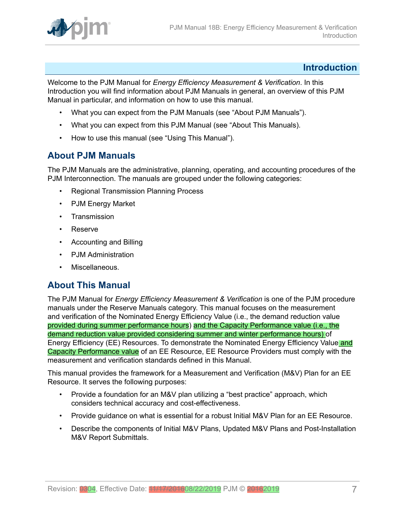

#### <span id="page-6-0"></span>**Introduction**

Welcome to the PJM Manual for *Energy Efficiency Measurement & Verification*. In this Introduction you will find information about PJM Manuals in general, an overview of this PJM Manual in particular, and information on how to use this manual.

- What you can expect from the PJM Manuals (see "About PJM Manuals").
- What you can expect from this PJM Manual (see "About This Manuals).
- How to use this manual (see "Using This Manual").

#### <span id="page-6-1"></span>**About PJM Manuals**

The PJM Manuals are the administrative, planning, operating, and accounting procedures of the PJM Interconnection. The manuals are grouped under the following categories:

- Regional Transmission Planning Process
- PJM Energy Market
- Transmission
- Reserve
- Accounting and Billing
- PJM Administration
- Miscellaneous.

### <span id="page-6-2"></span>**About This Manual**

The PJM Manual for *Energy Efficiency Measurement & Verification* is one of the PJM procedure manuals under the Reserve Manuals category. This manual focuses on the measurement and verification of the Nominated Energy Efficiency Value (i.e., the demand reduction value provided during summer performance hours) and the Capacity Performance value (i.e., the demand reduction value provided considering summer and winter performance hours) of Energy Efficiency (EE) Resources. To demonstrate the Nominated Energy Efficiency Value and Capacity Performance value of an EE Resource, EE Resource Providers must comply with the measurement and verification standards defined in this Manual.

This manual provides the framework for a Measurement and Verification (M&V) Plan for an EE Resource. It serves the following purposes:

- Provide a foundation for an M&V plan utilizing a "best practice" approach, which considers technical accuracy and cost-effectiveness.
- Provide guidance on what is essential for a robust Initial M&V Plan for an EE Resource.
- Describe the components of Initial M&V Plans, Updated M&V Plans and Post-Installation M&V Report Submittals.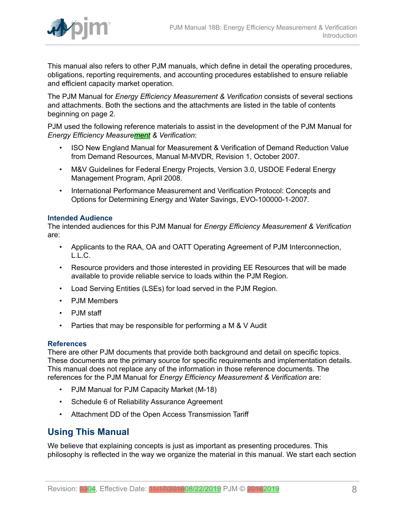

This manual also refers to other PJM manuals, which define in detail the operating procedures, obligations, reporting requirements, and accounting procedures established to ensure reliable and efficient capacity market operation.

The PJM Manual for *Energy Efficiency Measurement & Verification* consists of several sections and attachments. Both the sections and the attachments are listed in the table of contents beginning on page 2.

PJM used the following reference materials to assist in the development of the PJM Manual for *Energy Efficiency Measurement & Verification*:

- ISO New England Manual for Measurement & Verification of Demand Reduction Value from Demand Resources, Manual M-MVDR, Revision 1, October 2007.
- M&V Guidelines for Federal Energy Projects, Version 3.0, USDOE Federal Energy Management Program, April 2008.
- International Performance Measurement and Verification Protocol: Concepts and Options for Determining Energy and Water Savings, EVO-100000-1-2007.

#### **Intended Audience**

The intended audiences for this PJM Manual for *Energy Efficiency Measurement & Verification* are:

- Applicants to the RAA, OA and OATT Operating Agreement of PJM Interconnection, L.L.C.
- Resource providers and those interested in providing EE Resources that will be made available to provide reliable service to loads within the PJM Region.
- Load Serving Entities (LSEs) for load served in the PJM Region.
- PJM Members
- PJM staff
- Parties that may be responsible for performing a M & V Audit

#### **References**

There are other PJM documents that provide both background and detail on specific topics. These documents are the primary source for specific requirements and implementation details. This manual does not replace any of the information in those reference documents. The references for the PJM Manual for *Energy Efficiency Measurement & Verification* are:

- PJM Manual for PJM Capacity Market (M-18)
- Schedule 6 of Reliability Assurance Agreement
- Attachment DD of the Open Access Transmission Tariff

### <span id="page-7-0"></span>**Using This Manual**

We believe that explaining concepts is just as important as presenting procedures. This philosophy is reflected in the way we organize the material in this manual. We start each section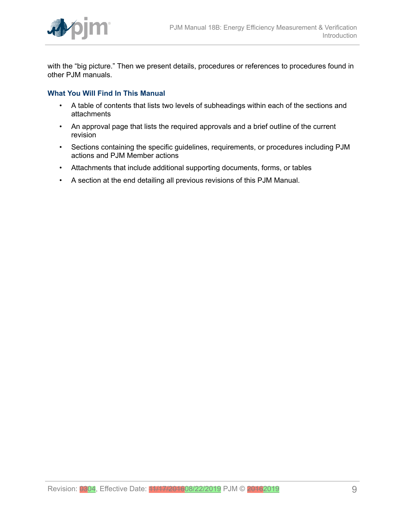

with the "big picture." Then we present details, procedures or references to procedures found in other PJM manuals.

#### **What You Will Find In This Manual**

- A table of contents that lists two levels of subheadings within each of the sections and attachments
- An approval page that lists the required approvals and a brief outline of the current revision
- Sections containing the specific guidelines, requirements, or procedures including PJM actions and PJM Member actions
- Attachments that include additional supporting documents, forms, or tables
- A section at the end detailing all previous revisions of this PJM Manual.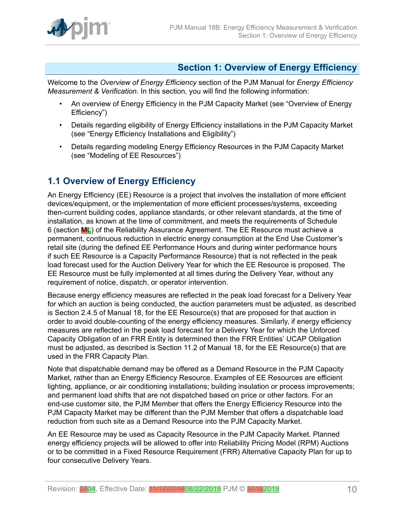

# <span id="page-9-0"></span>**Section 1: Overview of Energy Efficiency**

Welcome to the *Overview of Energy Efficiency* section of the PJM Manual for *Energy Efficiency Measurement & Verification*. In this section, you will find the following information:

- An overview of Energy Efficiency in the PJM Capacity Market (see "Overview of Energy Efficiency")
- Details regarding eligibility of Energy Efficiency installations in the PJM Capacity Market (see "Energy Efficiency Installations and Eligibility")
- Details regarding modeling Energy Efficiency Resources in the PJM Capacity Market (see "Modeling of EE Resources")

# <span id="page-9-1"></span>**1.1 Overview of Energy Efficiency**

An Energy Efficiency (EE) Resource is a project that involves the installation of more efficient devices/equipment, or the implementation of more efficient processes/systems, exceeding then-current building codes, appliance standards, or other relevant standards, at the time of installation, as known at the time of commitment, and meets the requirements of Schedule 6 (section ML) of the Reliability Assurance Agreement. The EE Resource must achieve a permanent, continuous reduction in electric energy consumption at the End Use Customer's retail site (during the defined EE Performance Hours and during winter performance hours if such EE Resource is a Capacity Performance Resource) that is not reflected in the peak load forecast used for the Auction Delivery Year for which the EE Resource is proposed. The EE Resource must be fully implemented at all times during the Delivery Year, without any requirement of notice, dispatch, or operator intervention.

Because energy efficiency measures are reflected in the peak load forecast for a Delivery Year for which an auction is being conducted, the auction parameters must be adjusted, as described is Section 2.4.5 of Manual 18, for the EE Resource(s) that are proposed for that auction in order to avoid double-counting of the energy efficiency measures. Similarly, if energy efficiency measures are reflected in the peak load forecast for a Delivery Year for which the Unforced Capacity Obligation of an FRR Entity is determined then the FRR Entities' UCAP Obligation must be adjusted, as described is Section 11.2 of Manual 18, for the EE Resource(s) that are used in the FRR Capacity Plan.

Note that dispatchable demand may be offered as a Demand Resource in the PJM Capacity Market, rather than an Energy Efficiency Resource. Examples of EE Resources are efficient lighting, appliance, or air conditioning installations; building insulation or process improvements; and permanent load shifts that are not dispatched based on price or other factors. For an end-use customer site, the PJM Member that offers the Energy Efficiency Resource into the PJM Capacity Market may be different than the PJM Member that offers a dispatchable load reduction from such site as a Demand Resource into the PJM Capacity Market.

An EE Resource may be used as Capacity Resource in the PJM Capacity Market. Planned energy efficiency projects will be allowed to offer into Reliability Pricing Model (RPM) Auctions or to be committed in a Fixed Resource Requirement (FRR) Alternative Capacity Plan for up to four consecutive Delivery Years.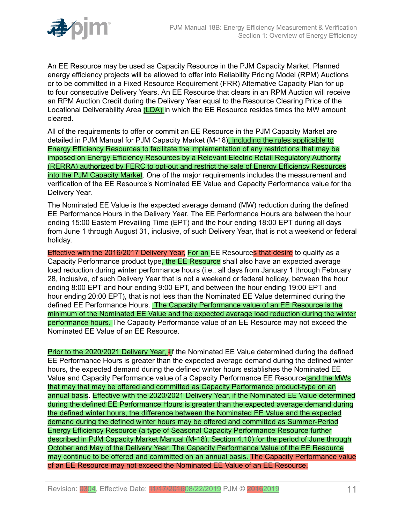

An EE Resource may be used as Capacity Resource in the PJM Capacity Market. Planned energy efficiency projects will be allowed to offer into Reliability Pricing Model (RPM) Auctions or to be committed in a Fixed Resource Requirement (FRR) Alternative Capacity Plan for up to four consecutive Delivery Years. An EE Resource that clears in an RPM Auction will receive an RPM Auction Credit during the Delivery Year equal to the Resource Clearing Price of the Locational Deliverability Area (LDA) in which the EE Resource resides times the MW amount cleared.

All of the requirements to offer or commit an EE Resource in the PJM Capacity Market are detailed in PJM Manual for PJM Capacity Market (M-18), including the rules applicable to Energy Efficiency Resources to facilitate the implementation of any restrictions that may be imposed on Energy Efficiency Resources by a Relevant Electric Retail Regulatory Authority (RERRA) authorized by FERC to opt-out and restrict the sale of Energy Efficiency Resources into the PJM Capacity Market. One of the major requirements includes the measurement and verification of the EE Resource's Nominated EE Value and Capacity Performance value for the Delivery Year.

The Nominated EE Value is the expected average demand (MW) reduction during the defined EE Performance Hours in the Delivery Year. The EE Performance Hours are between the hour ending 15:00 Eastern Prevailing Time (EPT) and the hour ending 18:00 EPT during all days from June 1 through August 31, inclusive, of such Delivery Year, that is not a weekend or federal holiday.

Effective with the 2016/2017 Delivery Year, For an EE Resources that desire to qualify as a Capacity Performance product type, the EE Resource shall also have an expected average load reduction during winter performance hours (i.e., all days from January 1 through February 28, inclusive, of such Delivery Year that is not a weekend or federal holiday, between the hour ending 8:00 EPT and hour ending 9:00 EPT, and between the hour ending 19:00 EPT and hour ending 20:00 EPT), that is not less than the Nominated EE Value determined during the defined EE Performance Hours. The Capacity Performance value of an EE Resource is the minimum of the Nominated EE Value and the expected average load reduction during the winter performance hours. The Capacity Performance value of an EE Resource may not exceed the Nominated EE Value of an EE Resource.

Prior to the 2020/2021 Delivery Year, Iif the Nominated EE Value determined during the defined EE Performance Hours is greater than the expected average demand during the defined winter hours, the expected demand during the defined winter hours establishes the Nominated EE Value and Capacity Performance value of a Capacity Performance EE Resource and the MWs that may that may be offered and committed as Capacity Performance product-type on an annual basis. Effective with the 2020/2021 Delivery Year, if the Nominated EE Value determined during the defined EE Performance Hours is greater than the expected average demand during the defined winter hours, the difference between the Nominated EE Value and the expected demand during the defined winter hours may be offered and committed as Summer-Period Energy Efficiency Resource (a type of Seasonal Capacity Performance Resource further described in PJM Capacity Market Manual (M-18), Section 4.10) for the period of June through October and May of the Delivery Year. The Capacity Performance Value of the EE Resource may continue to be offered and committed on an annual basis. The Capacity Performance value of an EE Resource may not exceed the Nominated EE Value of an EE Resource.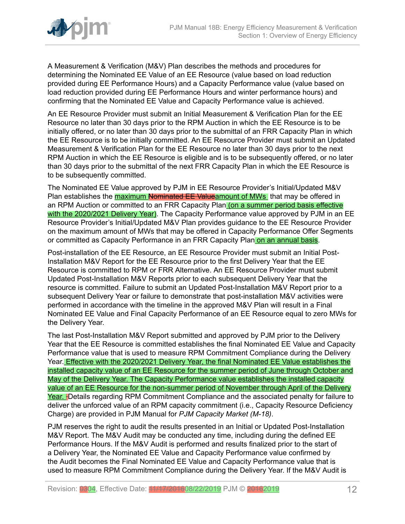

A Measurement & Verification (M&V) Plan describes the methods and procedures for determining the Nominated EE Value of an EE Resource (value based on load reduction provided during EE Performance Hours) and a Capacity Performance value (value based on load reduction provided during EE Performance Hours and winter performance hours) and confirming that the Nominated EE Value and Capacity Performance value is achieved.

An EE Resource Provider must submit an Initial Measurement & Verification Plan for the EE Resource no later than 30 days prior to the RPM Auction in which the EE Resource is to be initially offered, or no later than 30 days prior to the submittal of an FRR Capacity Plan in which the EE Resource is to be initially committed. An EE Resource Provider must submit an Updated Measurement & Verification Plan for the EE Resource no later than 30 days prior to the next RPM Auction in which the EE Resource is eligible and is to be subsequently offered, or no later than 30 days prior to the submittal of the next FRR Capacity Plan in which the EE Resource is to be subsequently committed.

The Nominated EE Value approved by PJM in EE Resource Provider's Initial/Updated M&V Plan establishes the **maximum Nominated EE Value**amount of MWs that may be offered in an RPM Auction or committed to an FRR Capacity Plan (on a summer period basis effective with the 2020/2021 Delivery Year). The Capacity Performance value approved by PJM in an EE Resource Provider's Initial/Updated M&V Plan provides guidance to the EE Resource Provider on the maximum amount of MWs that may be offered in Capacity Performance Offer Segments or committed as Capacity Performance in an FRR Capacity Plan on an annual basis.

Post-installation of the EE Resource, an EE Resource Provider must submit an Initial Post-Installation M&V Report for the EE Resource prior to the first Delivery Year that the EE Resource is committed to RPM or FRR Alternative. An EE Resource Provider must submit Updated Post-Installation M&V Reports prior to each subsequent Delivery Year that the resource is committed. Failure to submit an Updated Post-Installation M&V Report prior to a subsequent Delivery Year or failure to demonstrate that post-installation M&V activities were performed in accordance with the timeline in the approved M&V Plan will result in a Final Nominated EE Value and Final Capacity Performance of an EE Resource equal to zero MWs for the Delivery Year.

The last Post-Installation M&V Report submitted and approved by PJM prior to the Delivery Year that the EE Resource is committed establishes the final Nominated EE Value and Capacity Performance value that is used to measure RPM Commitment Compliance during the Delivery Year. Effective with the 2020/2021 Delivery Year, the final Nominated EE Value establishes the installed capacity value of an EE Resource for the summer period of June through October and May of the Delivery Year. The Capacity Performance value establishes the installed capacity value of an EE Resource for the non-summer period of November through April of the Delivery Year. Details regarding RPM Commitment Compliance and the associated penalty for failure to deliver the unforced value of an RPM capacity commitment (i.e., Capacity Resource Deficiency Charge) are provided in PJM Manual for *PJM Capacity Market (M-18)*.

PJM reserves the right to audit the results presented in an Initial or Updated Post-Installation M&V Report. The M&V Audit may be conducted any time, including during the defined EE Performance Hours. If the M&V Audit is performed and results finalized prior to the start of a Delivery Year, the Nominated EE Value and Capacity Performance value confirmed by the Audit becomes the Final Nominated EE Value and Capacity Performance value that is used to measure RPM Commitment Compliance during the Delivery Year. If the M&V Audit is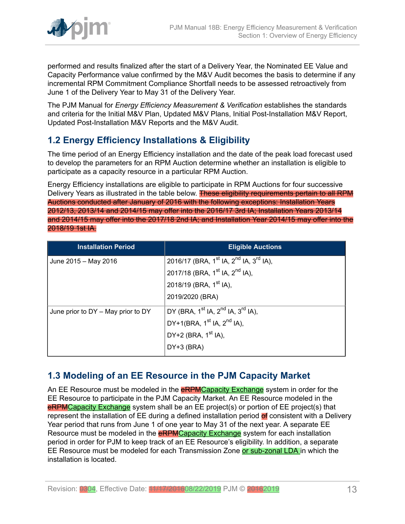

performed and results finalized after the start of a Delivery Year, the Nominated EE Value and Capacity Performance value confirmed by the M&V Audit becomes the basis to determine if any incremental RPM Commitment Compliance Shortfall needs to be assessed retroactively from June 1 of the Delivery Year to May 31 of the Delivery Year.

The PJM Manual for *Energy Efficiency Measurement & Verification* establishes the standards and criteria for the Initial M&V Plan, Updated M&V Plans, Initial Post-Installation M&V Report, Updated Post-Installation M&V Reports and the M&V Audit.

# <span id="page-12-0"></span>**1.2 Energy Efficiency Installations & Eligibility**

The time period of an Energy Efficiency installation and the date of the peak load forecast used to develop the parameters for an RPM Auction determine whether an installation is eligible to participate as a capacity resource in a particular RPM Auction.

Energy Efficiency installations are eligible to participate in RPM Auctions for four successive Delivery Years as illustrated in the table below. These eligibility requirements pertain to all RPM Auctions conducted after January of 2016 with the following exceptions: Installation Years 2012/13, 2013/14 and 2014/15 may offer into the 2016/17 3rd IA; Installation Years 2013/14 and 2014/15 may offer into the 2017/18 2nd IA; and Installation Year 2014/15 may offer into the 2018/19 1st IA.

| <b>Installation Period</b>             | <b>Eligible Auctions</b>                                                   |
|----------------------------------------|----------------------------------------------------------------------------|
| June 2015 - May 2016                   | 2016/17 (BRA, 1 <sup>st</sup> IA, 2 <sup>nd</sup> IA, 3 <sup>rd</sup> IA), |
|                                        | 2017/18 (BRA, 1 <sup>st</sup> IA, 2 <sup>nd</sup> IA),                     |
|                                        | 2018/19 (BRA, 1 <sup>st</sup> IA),                                         |
|                                        | 2019/2020 (BRA)                                                            |
| June prior to $DY - May$ prior to $DY$ | DY (BRA, 1 <sup>st</sup> IA, 2 <sup>nd</sup> IA, 3 <sup>rd</sup> IA),      |
|                                        | DY+1(BRA, $1^{st}$ IA, $2^{nd}$ IA),                                       |
|                                        | DY+2 (BRA, 1 <sup>st</sup> IA),                                            |
|                                        | $DY+3$ (BRA)                                                               |

# <span id="page-12-1"></span>**1.3 Modeling of an EE Resource in the PJM Capacity Market**

An EE Resource must be modeled in the **eRPMCapacity Exchange** system in order for the EE Resource to participate in the PJM Capacity Market. An EE Resource modeled in the **eRPMCapacity Exchange** system shall be an EE project(s) or portion of EE project(s) that represent the installation of EE during a defined installation period of consistent with a Delivery Year period that runs from June 1 of one year to May 31 of the next year. A separate EE Resource must be modeled in the **eRPMCapacity Exchange** system for each installation period in order for PJM to keep track of an EE Resource's eligibility. In addition, a separate EE Resource must be modeled for each Transmission Zone or sub-zonal LDA in which the installation is located.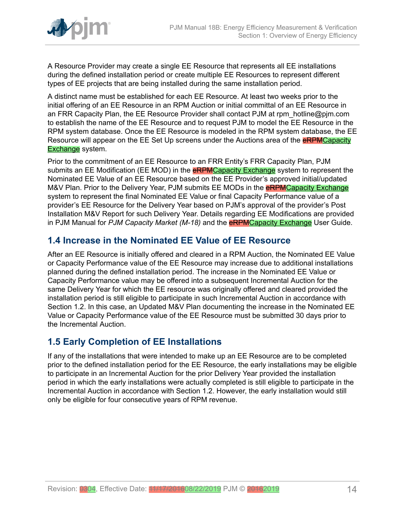

A Resource Provider may create a single EE Resource that represents all EE installations during the defined installation period or create multiple EE Resources to represent different types of EE projects that are being installed during the same installation period.

A distinct name must be established for each EE Resource. At least two weeks prior to the initial offering of an EE Resource in an RPM Auction or initial committal of an EE Resource in an FRR Capacity Plan, the EE Resource Provider shall contact PJM at rpm\_hotline@pjm.com to establish the name of the EE Resource and to request PJM to model the EE Resource in the RPM system database. Once the EE Resource is modeled in the RPM system database, the EE Resource will appear on the EE Set Up screens under the Auctions area of the **eRPMCapacity Exchange** system.

Prior to the commitment of an EE Resource to an FRR Entity's FRR Capacity Plan, PJM submits an EE Modification (EE MOD) in the **eRPMCapacity Exchange** system to represent the Nominated EE Value of an EE Resource based on the EE Provider's approved initial/updated M&V Plan. Prior to the Delivery Year, PJM submits EE MODs in the **eRPMCapacity Exchange** system to represent the final Nominated EE Value or final Capacity Performance value of a provider's EE Resource for the Delivery Year based on PJM's approval of the provider's Post Installation M&V Report for such Delivery Year. Details regarding EE Modifications are provided in PJM Manual for *PJM Capacity Market (M-18)* and the eRPMCapacity Exchange User Guide.

### <span id="page-13-0"></span>**1.4 Increase in the Nominated EE Value of EE Resource**

After an EE Resource is initially offered and cleared in a RPM Auction, the Nominated EE Value or Capacity Performance value of the EE Resource may increase due to additional installations planned during the defined installation period. The increase in the Nominated EE Value or Capacity Performance value may be offered into a subsequent Incremental Auction for the same Delivery Year for which the EE resource was originally offered and cleared provided the installation period is still eligible to participate in such Incremental Auction in accordance with Section 1.2. In this case, an Updated M&V Plan documenting the increase in the Nominated EE Value or Capacity Performance value of the EE Resource must be submitted 30 days prior to the Incremental Auction.

# <span id="page-13-1"></span>**1.5 Early Completion of EE Installations**

If any of the installations that were intended to make up an EE Resource are to be completed prior to the defined installation period for the EE Resource, the early installations may be eligible to participate in an Incremental Auction for the prior Delivery Year provided the installation period in which the early installations were actually completed is still eligible to participate in the Incremental Auction in accordance with Section 1.2. However, the early installation would still only be eligible for four consecutive years of RPM revenue.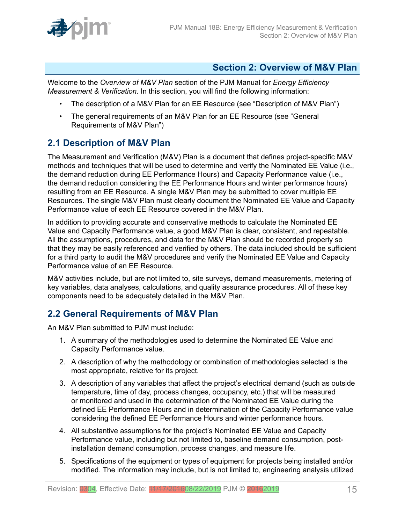

#### <span id="page-14-0"></span>**Section 2: Overview of M&V Plan**

Welcome to the *Overview of M&V Plan* section of the PJM Manual for *Energy Efficiency Measurement & Verification*. In this section, you will find the following information:

- The description of a M&V Plan for an EE Resource (see "Description of M&V Plan")
- The general requirements of an M&V Plan for an EE Resource (see "General Requirements of M&V Plan")

### <span id="page-14-1"></span>**2.1 Description of M&V Plan**

The Measurement and Verification (M&V) Plan is a document that defines project-specific M&V methods and techniques that will be used to determine and verify the Nominated EE Value (i.e., the demand reduction during EE Performance Hours) and Capacity Performance value (i.e., the demand reduction considering the EE Performance Hours and winter performance hours) resulting from an EE Resource. A single M&V Plan may be submitted to cover multiple EE Resources. The single M&V Plan must clearly document the Nominated EE Value and Capacity Performance value of each EE Resource covered in the M&V Plan.

In addition to providing accurate and conservative methods to calculate the Nominated EE Value and Capacity Performance value, a good M&V Plan is clear, consistent, and repeatable. All the assumptions, procedures, and data for the M&V Plan should be recorded properly so that they may be easily referenced and verified by others. The data included should be sufficient for a third party to audit the M&V procedures and verify the Nominated EE Value and Capacity Performance value of an EE Resource.

M&V activities include, but are not limited to, site surveys, demand measurements, metering of key variables, data analyses, calculations, and quality assurance procedures. All of these key components need to be adequately detailed in the M&V Plan.

# <span id="page-14-2"></span>**2.2 General Requirements of M&V Plan**

An M&V Plan submitted to PJM must include:

- 1. A summary of the methodologies used to determine the Nominated EE Value and Capacity Performance value.
- 2. A description of why the methodology or combination of methodologies selected is the most appropriate, relative for its project.
- 3. A description of any variables that affect the project's electrical demand (such as outside temperature, time of day, process changes, occupancy, etc.) that will be measured or monitored and used in the determination of the Nominated EE Value during the defined EE Performance Hours and in determination of the Capacity Performance value considering the defined EE Performance Hours and winter performance hours.
- 4. All substantive assumptions for the project's Nominated EE Value and Capacity Performance value, including but not limited to, baseline demand consumption, postinstallation demand consumption, process changes, and measure life.
- 5. Specifications of the equipment or types of equipment for projects being installed and/or modified. The information may include, but is not limited to, engineering analysis utilized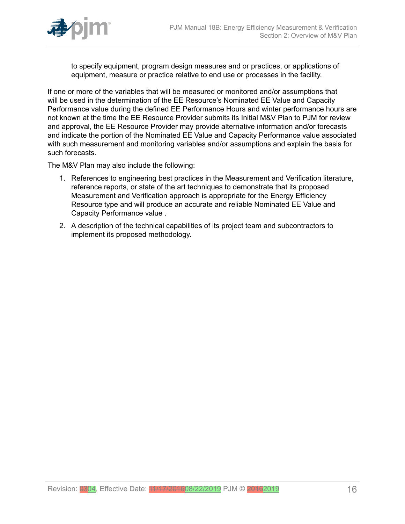

to specify equipment, program design measures and or practices, or applications of equipment, measure or practice relative to end use or processes in the facility.

If one or more of the variables that will be measured or monitored and/or assumptions that will be used in the determination of the EE Resource's Nominated EE Value and Capacity Performance value during the defined EE Performance Hours and winter performance hours are not known at the time the EE Resource Provider submits its Initial M&V Plan to PJM for review and approval, the EE Resource Provider may provide alternative information and/or forecasts and indicate the portion of the Nominated EE Value and Capacity Performance value associated with such measurement and monitoring variables and/or assumptions and explain the basis for such forecasts.

The M&V Plan may also include the following:

- 1. References to engineering best practices in the Measurement and Verification literature, reference reports, or state of the art techniques to demonstrate that its proposed Measurement and Verification approach is appropriate for the Energy Efficiency Resource type and will produce an accurate and reliable Nominated EE Value and Capacity Performance value .
- 2. A description of the technical capabilities of its project team and subcontractors to implement its proposed methodology.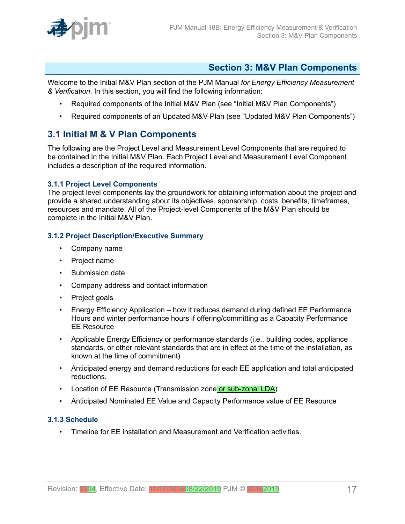

### <span id="page-16-0"></span>**Section 3: M&V Plan Components**

Welcome to the Initial M&V Plan section of the PJM Manual *for Energy Efficiency Measurement & Verification*. In this section, you will find the following information:

- Required components of the Initial M&V Plan (see "Initial M&V Plan Components")
- Required components of an Updated M&V Plan (see "Updated M&V Plan Components")

### <span id="page-16-1"></span>**3.1 Initial M & V Plan Components**

The following are the Project Level and Measurement Level Components that are required to be contained in the Initial M&V Plan. Each Project Level and Measurement Level Component includes a description of the required information.

#### <span id="page-16-2"></span>**3.1.1 Project Level Components**

The project level components lay the groundwork for obtaining information about the project and provide a shared understanding about its objectives, sponsorship, costs, benefits, timeframes, resources and mandate. All of the Project-level Components of the M&V Plan should be complete in the Initial M&V Plan.

#### <span id="page-16-3"></span>**3.1.2 Project Description/Executive Summary**

- Company name
- Project name
- Submission date
- Company address and contact information
- Project goals
- Energy Efficiency Application how it reduces demand during defined EE Performance Hours and winter performance hours if offering/committing as a Capacity Performance EE Resource
- Applicable Energy Efficiency or performance standards (i.e., building codes, appliance standards, or other relevant standards that are in effect at the time of the installation, as known at the time of commitment)
- Anticipated energy and demand reductions for each EE application and total anticipated reductions.
- Location of EE Resource (Transmission zone or sub-zonal LDA)
- Anticipated Nominated EE Value and Capacity Performance value of EE Resource

#### <span id="page-16-4"></span>**3.1.3 Schedule**

• Timeline for EE installation and Measurement and Verification activities.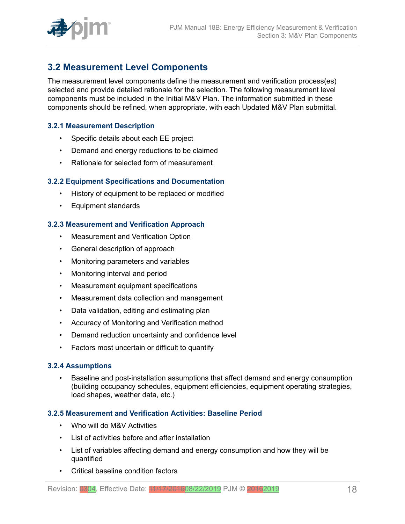

### <span id="page-17-0"></span>**3.2 Measurement Level Components**

The measurement level components define the measurement and verification process(es) selected and provide detailed rationale for the selection. The following measurement level components must be included in the Initial M&V Plan. The information submitted in these components should be refined, when appropriate, with each Updated M&V Plan submittal.

#### <span id="page-17-1"></span>**3.2.1 Measurement Description**

- Specific details about each EE project
- Demand and energy reductions to be claimed
- Rationale for selected form of measurement

#### <span id="page-17-2"></span>**3.2.2 Equipment Specifications and Documentation**

- History of equipment to be replaced or modified
- Equipment standards

#### <span id="page-17-3"></span>**3.2.3 Measurement and Verification Approach**

- Measurement and Verification Option
- General description of approach
- Monitoring parameters and variables
- Monitoring interval and period
- Measurement equipment specifications
- Measurement data collection and management
- Data validation, editing and estimating plan
- Accuracy of Monitoring and Verification method
- Demand reduction uncertainty and confidence level
- Factors most uncertain or difficult to quantify

#### <span id="page-17-4"></span>**3.2.4 Assumptions**

• Baseline and post-installation assumptions that affect demand and energy consumption (building occupancy schedules, equipment efficiencies, equipment operating strategies, load shapes, weather data, etc.)

#### <span id="page-17-5"></span>**3.2.5 Measurement and Verification Activities: Baseline Period**

- Who will do M&V Activities
- List of activities before and after installation
- List of variables affecting demand and energy consumption and how they will be quantified
- Critical baseline condition factors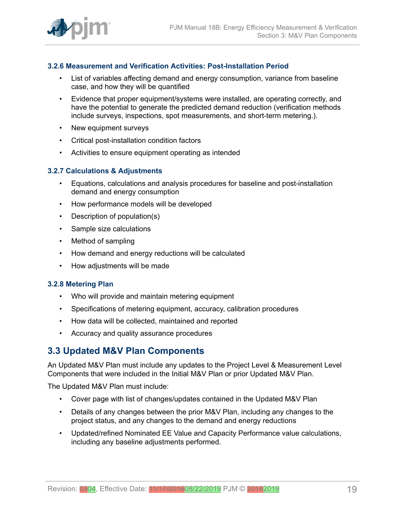

#### <span id="page-18-0"></span>**3.2.6 Measurement and Verification Activities: Post-Installation Period**

- List of variables affecting demand and energy consumption, variance from baseline case, and how they will be quantified
- Evidence that proper equipment/systems were installed, are operating correctly, and have the potential to generate the predicted demand reduction (verification methods include surveys, inspections, spot measurements, and short-term metering.).
- New equipment surveys
- Critical post-installation condition factors
- Activities to ensure equipment operating as intended

#### <span id="page-18-1"></span>**3.2.7 Calculations & Adjustments**

- Equations, calculations and analysis procedures for baseline and post-installation demand and energy consumption
- How performance models will be developed
- Description of population(s)
- Sample size calculations
- Method of sampling
- How demand and energy reductions will be calculated
- How adjustments will be made

#### <span id="page-18-2"></span>**3.2.8 Metering Plan**

- Who will provide and maintain metering equipment
- Specifications of metering equipment, accuracy, calibration procedures
- How data will be collected, maintained and reported
- Accuracy and quality assurance procedures

#### <span id="page-18-3"></span>**3.3 Updated M&V Plan Components**

An Updated M&V Plan must include any updates to the Project Level & Measurement Level Components that were included in the Initial M&V Plan or prior Updated M&V Plan.

The Updated M&V Plan must include:

- Cover page with list of changes/updates contained in the Updated M&V Plan
- Details of any changes between the prior M&V Plan, including any changes to the project status, and any changes to the demand and energy reductions
- Updated/refined Nominated EE Value and Capacity Performance value calculations, including any baseline adjustments performed.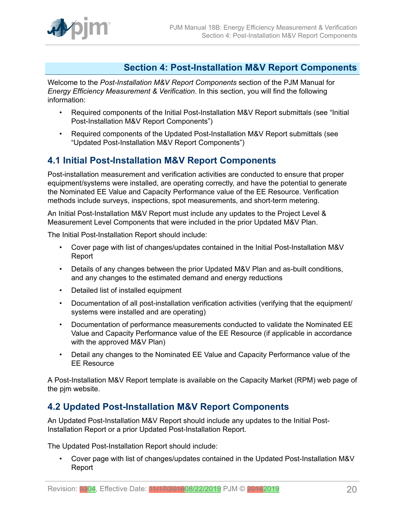

### <span id="page-19-0"></span>**Section 4: Post-Installation M&V Report Components**

Welcome to the *Post-Installation M&V Report Components* section of the PJM Manual for *Energy Efficiency Measurement & Verification*. In this section, you will find the following information:

- Required components of the Initial Post-Installation M&V Report submittals (see "Initial Post-Installation M&V Report Components")
- Required components of the Updated Post-Installation M&V Report submittals (see "Updated Post-Installation M&V Report Components")

### <span id="page-19-1"></span>**4.1 Initial Post-Installation M&V Report Components**

Post-installation measurement and verification activities are conducted to ensure that proper equipment/systems were installed, are operating correctly, and have the potential to generate the Nominated EE Value and Capacity Performance value of the EE Resource. Verification methods include surveys, inspections, spot measurements, and short-term metering.

An Initial Post-Installation M&V Report must include any updates to the Project Level & Measurement Level Components that were included in the prior Updated M&V Plan.

The Initial Post-Installation Report should include:

- Cover page with list of changes/updates contained in the Initial Post-Installation M&V Report
- Details of any changes between the prior Updated M&V Plan and as-built conditions, and any changes to the estimated demand and energy reductions
- Detailed list of installed equipment
- Documentation of all post-installation verification activities (verifying that the equipment/ systems were installed and are operating)
- Documentation of performance measurements conducted to validate the Nominated EE Value and Capacity Performance value of the EE Resource (if applicable in accordance with the approved M&V Plan)
- Detail any changes to the Nominated EE Value and Capacity Performance value of the EE Resource

A Post-Installation M&V Report template is available on the Capacity Market (RPM) web page of the pjm website.

### <span id="page-19-2"></span>**4.2 Updated Post-Installation M&V Report Components**

An Updated Post-Installation M&V Report should include any updates to the Initial Post-Installation Report or a prior Updated Post-Installation Report.

The Updated Post-Installation Report should include:

• Cover page with list of changes/updates contained in the Updated Post-Installation M&V Report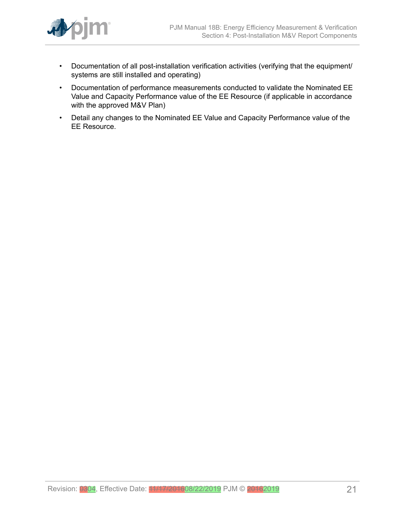

- Documentation of all post-installation verification activities (verifying that the equipment/ systems are still installed and operating)
- Documentation of performance measurements conducted to validate the Nominated EE Value and Capacity Performance value of the EE Resource (if applicable in accordance with the approved M&V Plan)
- Detail any changes to the Nominated EE Value and Capacity Performance value of the EE Resource.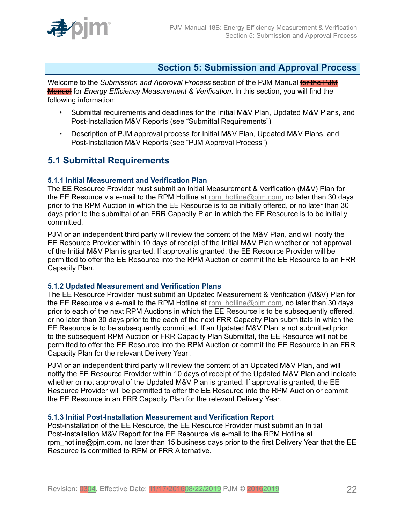

### <span id="page-21-0"></span>**Section 5: Submission and Approval Process**

Welcome to the *Submission and Approval Process* section of the PJM Manual for the PJM Manual for *Energy Efficiency Measurement & Verification*. In this section, you will find the following information:

- Submittal requirements and deadlines for the Initial M&V Plan, Updated M&V Plans, and Post-Installation M&V Reports (see "Submittal Requirements")
- Description of PJM approval process for Initial M&V Plan, Updated M&V Plans, and Post-Installation M&V Reports (see "PJM Approval Process")

### <span id="page-21-1"></span>**5.1 Submittal Requirements**

#### <span id="page-21-2"></span>**5.1.1 Initial Measurement and Verification Plan**

The EE Resource Provider must submit an Initial Measurement & Verification (M&V) Plan for the EE Resource via e-mail to the RPM Hotline at [rpm\\_hotline@pjm.com,](mailto:rpm_hotline@pjm.com) no later than 30 days prior to the RPM Auction in which the EE Resource is to be initially offered, or no later than 30 days prior to the submittal of an FRR Capacity Plan in which the EE Resource is to be initially committed.

PJM or an independent third party will review the content of the M&V Plan, and will notify the EE Resource Provider within 10 days of receipt of the Initial M&V Plan whether or not approval of the Initial M&V Plan is granted. If approval is granted, the EE Resource Provider will be permitted to offer the EE Resource into the RPM Auction or commit the EE Resource to an FRR Capacity Plan.

#### <span id="page-21-3"></span>**5.1.2 Updated Measurement and Verification Plans**

The EE Resource Provider must submit an Updated Measurement & Verification (M&V) Plan for the EE Resource via e-mail to the RPM Hotline at [rpm\\_hotline@pjm.com,](mailto:rpm_hotline@pjm.com) no later than 30 days prior to each of the next RPM Auctions in which the EE Resource is to be subsequently offered, or no later than 30 days prior to the each of the next FRR Capacity Plan submittals in which the EE Resource is to be subsequently committed. If an Updated M&V Plan is not submitted prior to the subsequent RPM Auction or FRR Capacity Plan Submittal, the EE Resource will not be permitted to offer the EE Resource into the RPM Auction or commit the EE Resource in an FRR Capacity Plan for the relevant Delivery Year .

PJM or an independent third party will review the content of an Updated M&V Plan, and will notify the EE Resource Provider within 10 days of receipt of the Updated M&V Plan and indicate whether or not approval of the Updated M&V Plan is granted. If approval is granted, the EE Resource Provider will be permitted to offer the EE Resource into the RPM Auction or commit the EE Resource in an FRR Capacity Plan for the relevant Delivery Year.

#### <span id="page-21-4"></span>**5.1.3 Initial Post-Installation Measurement and Verification Report**

Post-installation of the EE Resource, the EE Resource Provider must submit an Initial Post-Installation M&V Report for the EE Resource via e-mail to the RPM Hotline at rpm\_hotline@pjm.com, no later than 15 business days prior to the first Delivery Year that the EE Resource is committed to RPM or FRR Alternative.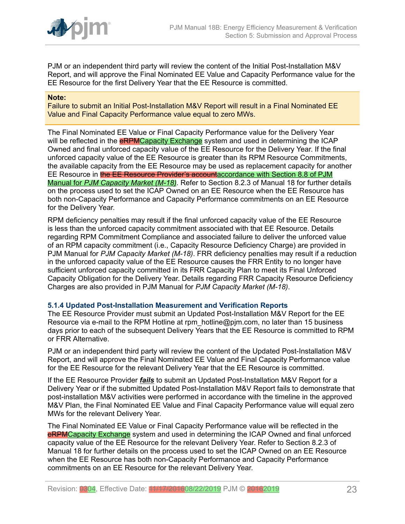

PJM or an independent third party will review the content of the Initial Post-Installation M&V Report, and will approve the Final Nominated EE Value and Capacity Performance value for the EE Resource for the first Delivery Year that the EE Resource is committed.

#### **Note:**

Failure to submit an Initial Post-Installation M&V Report will result in a Final Nominated EE Value and Final Capacity Performance value equal to zero MWs.

The Final Nominated EE Value or Final Capacity Performance value for the Delivery Year will be reflected in the **eRPMCapacity Exchange** system and used in determining the ICAP Owned and final unforced capacity value of the EE Resource for the Delivery Year. If the final unforced capacity value of the EE Resource is greater than its RPM Resource Commitments, the available capacity from the EE Resource may be used as replacement capacity for another EE Resource in the EE Resource Provider's accountaccordance with Section 8.8 of PJM Manual for *PJM Capacity Market (M-18)*. Refer to Section 8.2.3 of Manual 18 for further details on the process used to set the ICAP Owned on an EE Resource when the EE Resource has both non-Capacity Performance and Capacity Performance commitments on an EE Resource for the Delivery Year.

RPM deficiency penalties may result if the final unforced capacity value of the EE Resource is less than the unforced capacity commitment associated with that EE Resource. Details regarding RPM Commitment Compliance and associated failure to deliver the unforced value of an RPM capacity commitment (i.e., Capacity Resource Deficiency Charge) are provided in PJM Manual for *PJM Capacity Market (M-18)*. FRR deficiency penalties may result if a reduction in the unforced capacity value of the EE Resource causes the FRR Entity to no longer have sufficient unforced capacity committed in its FRR Capacity Plan to meet its Final Unforced Capacity Obligation for the Delivery Year. Details regarding FRR Capacity Resource Deficiency Charges are also provided in PJM Manual for *PJM Capacity Market (M-18)*.

#### <span id="page-22-0"></span>**5.1.4 Updated Post-Installation Measurement and Verification Reports**

The EE Resource Provider must submit an Updated Post-Installation M&V Report for the EE Resource via e-mail to the RPM Hotline at rpm\_hotline@pjm.com, no later than 15 business days prior to each of the subsequent Delivery Years that the EE Resource is committed to RPM or FRR Alternative.

PJM or an independent third party will review the content of the Updated Post-Installation M&V Report, and will approve the Final Nominated EE Value and Final Capacity Performance value for the EE Resource for the relevant Delivery Year that the EE Resource is committed.

If the EE Resource Provider *fails* to submit an Updated Post-Installation M&V Report for a Delivery Year or if the submitted Updated Post-Installation M&V Report fails to demonstrate that post-installation M&V activities were performed in accordance with the timeline in the approved M&V Plan, the Final Nominated EE Value and Final Capacity Performance value will equal zero MWs for the relevant Delivery Year.

The Final Nominated EE Value or Final Capacity Performance value will be reflected in the eRPMCapacity Exchange system and used in determining the ICAP Owned and final unforced capacity value of the EE Resource for the relevant Delivery Year. Refer to Section 8.2.3 of Manual 18 for further details on the process used to set the ICAP Owned on an EE Resource when the EE Resource has both non-Capacity Performance and Capacity Performance commitments on an EE Resource for the relevant Delivery Year.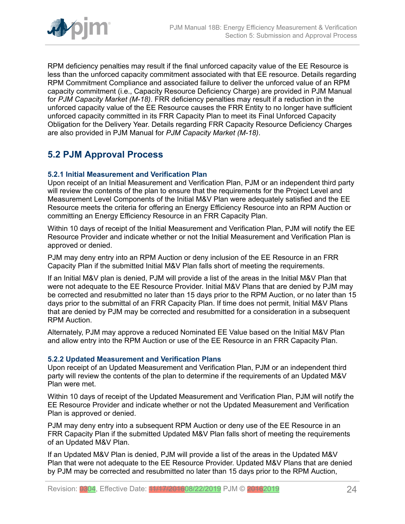

RPM deficiency penalties may result if the final unforced capacity value of the EE Resource is less than the unforced capacity commitment associated with that EE resource. Details regarding RPM Commitment Compliance and associated failure to deliver the unforced value of an RPM capacity commitment (i.e., Capacity Resource Deficiency Charge) are provided in PJM Manual for *PJM Capacity Market (M-18)*. FRR deficiency penalties may result if a reduction in the unforced capacity value of the EE Resource causes the FRR Entity to no longer have sufficient unforced capacity committed in its FRR Capacity Plan to meet its Final Unforced Capacity Obligation for the Delivery Year. Details regarding FRR Capacity Resource Deficiency Charges are also provided in PJM Manual for *PJM Capacity Market (M-18)*.

# <span id="page-23-0"></span>**5.2 PJM Approval Process**

#### <span id="page-23-1"></span>**5.2.1 Initial Measurement and Verification Plan**

Upon receipt of an Initial Measurement and Verification Plan, PJM or an independent third party will review the contents of the plan to ensure that the requirements for the Project Level and Measurement Level Components of the Initial M&V Plan were adequately satisfied and the EE Resource meets the criteria for offering an Energy Efficiency Resource into an RPM Auction or committing an Energy Efficiency Resource in an FRR Capacity Plan.

Within 10 days of receipt of the Initial Measurement and Verification Plan, PJM will notify the EE Resource Provider and indicate whether or not the Initial Measurement and Verification Plan is approved or denied.

PJM may deny entry into an RPM Auction or deny inclusion of the EE Resource in an FRR Capacity Plan if the submitted Initial M&V Plan falls short of meeting the requirements.

If an Initial M&V plan is denied, PJM will provide a list of the areas in the Initial M&V Plan that were not adequate to the EE Resource Provider. Initial M&V Plans that are denied by PJM may be corrected and resubmitted no later than 15 days prior to the RPM Auction, or no later than 15 days prior to the submittal of an FRR Capacity Plan. If time does not permit, Initial M&V Plans that are denied by PJM may be corrected and resubmitted for a consideration in a subsequent RPM Auction.

Alternately, PJM may approve a reduced Nominated EE Value based on the Initial M&V Plan and allow entry into the RPM Auction or use of the EE Resource in an FRR Capacity Plan.

#### <span id="page-23-2"></span>**5.2.2 Updated Measurement and Verification Plans**

Upon receipt of an Updated Measurement and Verification Plan, PJM or an independent third party will review the contents of the plan to determine if the requirements of an Updated M&V Plan were met.

Within 10 days of receipt of the Updated Measurement and Verification Plan, PJM will notify the EE Resource Provider and indicate whether or not the Updated Measurement and Verification Plan is approved or denied.

PJM may deny entry into a subsequent RPM Auction or deny use of the EE Resource in an FRR Capacity Plan if the submitted Updated M&V Plan falls short of meeting the requirements of an Updated M&V Plan.

If an Updated M&V Plan is denied, PJM will provide a list of the areas in the Updated M&V Plan that were not adequate to the EE Resource Provider. Updated M&V Plans that are denied by PJM may be corrected and resubmitted no later than 15 days prior to the RPM Auction,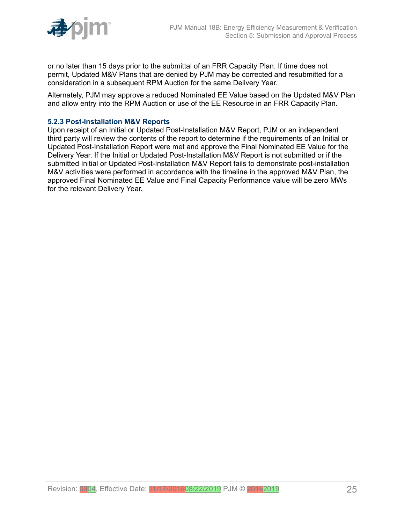

or no later than 15 days prior to the submittal of an FRR Capacity Plan. If time does not permit, Updated M&V Plans that are denied by PJM may be corrected and resubmitted for a consideration in a subsequent RPM Auction for the same Delivery Year.

Alternately, PJM may approve a reduced Nominated EE Value based on the Updated M&V Plan and allow entry into the RPM Auction or use of the EE Resource in an FRR Capacity Plan.

#### <span id="page-24-0"></span>**5.2.3 Post-Installation M&V Reports**

Upon receipt of an Initial or Updated Post-Installation M&V Report, PJM or an independent third party will review the contents of the report to determine if the requirements of an Initial or Updated Post-Installation Report were met and approve the Final Nominated EE Value for the Delivery Year. If the Initial or Updated Post-Installation M&V Report is not submitted or if the submitted Initial or Updated Post-Installation M&V Report fails to demonstrate post-installation M&V activities were performed in accordance with the timeline in the approved M&V Plan, the approved Final Nominated EE Value and Final Capacity Performance value will be zero MWs for the relevant Delivery Year.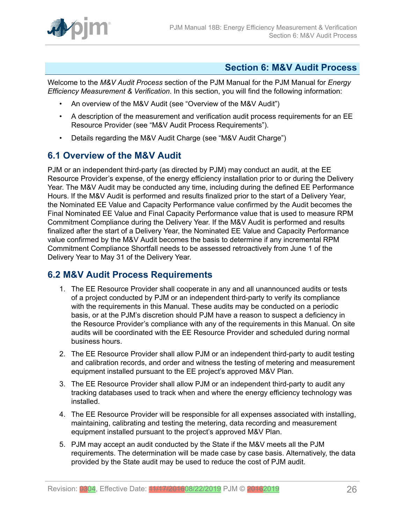

### <span id="page-25-0"></span>**Section 6: M&V Audit Process**

Welcome to the *M&V Audit Process* section of the PJM Manual for the PJM Manual for *Energy Efficiency Measurement & Verification*. In this section, you will find the following information:

- An overview of the M&V Audit (see "Overview of the M&V Audit")
- A description of the measurement and verification audit process requirements for an EE Resource Provider (see "M&V Audit Process Requirements").
- Details regarding the M&V Audit Charge (see "M&V Audit Charge")

### <span id="page-25-1"></span>**6.1 Overview of the M&V Audit**

PJM or an independent third-party (as directed by PJM) may conduct an audit, at the EE Resource Provider's expense, of the energy efficiency installation prior to or during the Delivery Year. The M&V Audit may be conducted any time, including during the defined EE Performance Hours. If the M&V Audit is performed and results finalized prior to the start of a Delivery Year, the Nominated EE Value and Capacity Performance value confirmed by the Audit becomes the Final Nominated EE Value and Final Capacity Performance value that is used to measure RPM Commitment Compliance during the Delivery Year. If the M&V Audit is performed and results finalized after the start of a Delivery Year, the Nominated EE Value and Capacity Performance value confirmed by the M&V Audit becomes the basis to determine if any incremental RPM Commitment Compliance Shortfall needs to be assessed retroactively from June 1 of the Delivery Year to May 31 of the Delivery Year.

### <span id="page-25-2"></span>**6.2 M&V Audit Process Requirements**

- 1. The EE Resource Provider shall cooperate in any and all unannounced audits or tests of a project conducted by PJM or an independent third-party to verify its compliance with the requirements in this Manual. These audits may be conducted on a periodic basis, or at the PJM's discretion should PJM have a reason to suspect a deficiency in the Resource Provider's compliance with any of the requirements in this Manual. On site audits will be coordinated with the EE Resource Provider and scheduled during normal business hours.
- 2. The EE Resource Provider shall allow PJM or an independent third-party to audit testing and calibration records, and order and witness the testing of metering and measurement equipment installed pursuant to the EE project's approved M&V Plan.
- 3. The EE Resource Provider shall allow PJM or an independent third-party to audit any tracking databases used to track when and where the energy efficiency technology was installed.
- 4. The EE Resource Provider will be responsible for all expenses associated with installing, maintaining, calibrating and testing the metering, data recording and measurement equipment installed pursuant to the project's approved M&V Plan.
- 5. PJM may accept an audit conducted by the State if the M&V meets all the PJM requirements. The determination will be made case by case basis. Alternatively, the data provided by the State audit may be used to reduce the cost of PJM audit.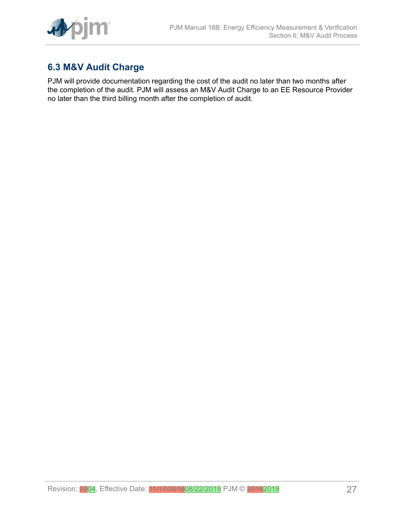

# <span id="page-26-0"></span>**6.3 M&V Audit Charge**

PJM will provide documentation regarding the cost of the audit no later than two months after the completion of the audit. PJM will assess an M&V Audit Charge to an EE Resource Provider no later than the third billing month after the completion of audit.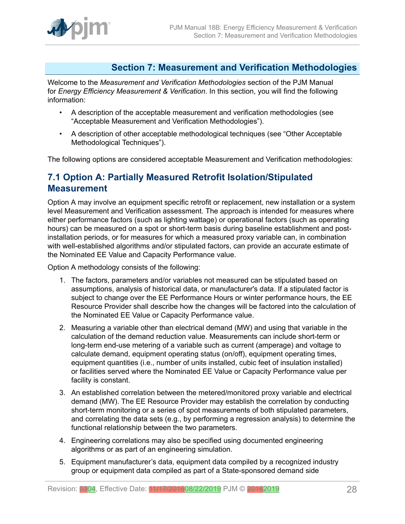

#### <span id="page-27-0"></span>**Section 7: Measurement and Verification Methodologies**

Welcome to the *Measurement and Verification Methodologies* section of the PJM Manual for *Energy Efficiency Measurement & Verification*. In this section, you will find the following information:

- A description of the acceptable measurement and verification methodologies (see "Acceptable Measurement and Verification Methodologies").
- A description of other acceptable methodological techniques (see "Other Acceptable Methodological Techniques").

The following options are considered acceptable Measurement and Verification methodologies:

### <span id="page-27-1"></span>**7.1 Option A: Partially Measured Retrofit Isolation/Stipulated Measurement**

Option A may involve an equipment specific retrofit or replacement, new installation or a system level Measurement and Verification assessment. The approach is intended for measures where either performance factors (such as lighting wattage) or operational factors (such as operating hours) can be measured on a spot or short-term basis during baseline establishment and postinstallation periods, or for measures for which a measured proxy variable can, in combination with well-established algorithms and/or stipulated factors, can provide an accurate estimate of the Nominated EE Value and Capacity Performance value.

Option A methodology consists of the following:

- 1. The factors, parameters and/or variables not measured can be stipulated based on assumptions, analysis of historical data, or manufacturer's data. If a stipulated factor is subject to change over the EE Performance Hours or winter performance hours, the EE Resource Provider shall describe how the changes will be factored into the calculation of the Nominated EE Value or Capacity Performance value.
- 2. Measuring a variable other than electrical demand (MW) and using that variable in the calculation of the demand reduction value. Measurements can include short-term or long-term end-use metering of a variable such as current (amperage) and voltage to calculate demand, equipment operating status (on/off), equipment operating times, equipment quantities (i.e., number of units installed, cubic feet of insulation installed) or facilities served where the Nominated EE Value or Capacity Performance value per facility is constant.
- 3. An established correlation between the metered/monitored proxy variable and electrical demand (MW). The EE Resource Provider may establish the correlation by conducting short-term monitoring or a series of spot measurements of both stipulated parameters, and correlating the data sets (e.g., by performing a regression analysis) to determine the functional relationship between the two parameters.
- 4. Engineering correlations may also be specified using documented engineering algorithms or as part of an engineering simulation.
- 5. Equipment manufacturer's data, equipment data compiled by a recognized industry group or equipment data compiled as part of a State-sponsored demand side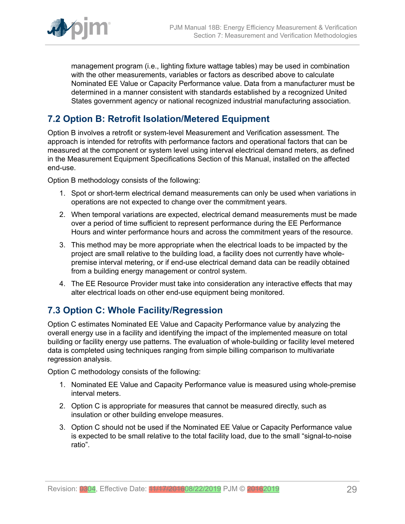

management program (i.e., lighting fixture wattage tables) may be used in combination with the other measurements, variables or factors as described above to calculate Nominated EE Value or Capacity Performance value. Data from a manufacturer must be determined in a manner consistent with standards established by a recognized United States government agency or national recognized industrial manufacturing association.

### <span id="page-28-0"></span>**7.2 Option B: Retrofit Isolation/Metered Equipment**

Option B involves a retrofit or system-level Measurement and Verification assessment. The approach is intended for retrofits with performance factors and operational factors that can be measured at the component or system level using interval electrical demand meters, as defined in the Measurement Equipment Specifications Section of this Manual, installed on the affected end-use.

Option B methodology consists of the following:

- 1. Spot or short-term electrical demand measurements can only be used when variations in operations are not expected to change over the commitment years.
- 2. When temporal variations are expected, electrical demand measurements must be made over a period of time sufficient to represent performance during the EE Performance Hours and winter performance hours and across the commitment years of the resource.
- 3. This method may be more appropriate when the electrical loads to be impacted by the project are small relative to the building load, a facility does not currently have wholepremise interval metering, or if end-use electrical demand data can be readily obtained from a building energy management or control system.
- 4. The EE Resource Provider must take into consideration any interactive effects that may alter electrical loads on other end-use equipment being monitored.

### <span id="page-28-1"></span>**7.3 Option C: Whole Facility/Regression**

Option C estimates Nominated EE Value and Capacity Performance value by analyzing the overall energy use in a facility and identifying the impact of the implemented measure on total building or facility energy use patterns. The evaluation of whole-building or facility level metered data is completed using techniques ranging from simple billing comparison to multivariate regression analysis.

Option C methodology consists of the following:

- 1. Nominated EE Value and Capacity Performance value is measured using whole-premise interval meters.
- 2. Option C is appropriate for measures that cannot be measured directly, such as insulation or other building envelope measures.
- 3. Option C should not be used if the Nominated EE Value or Capacity Performance value is expected to be small relative to the total facility load, due to the small "signal-to-noise ratio".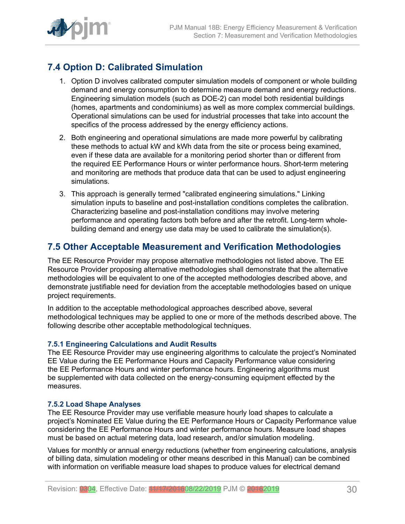

# <span id="page-29-0"></span>**7.4 Option D: Calibrated Simulation**

- 1. Option D involves calibrated computer simulation models of component or whole building demand and energy consumption to determine measure demand and energy reductions. Engineering simulation models (such as DOE-2) can model both residential buildings (homes, apartments and condominiums) as well as more complex commercial buildings. Operational simulations can be used for industrial processes that take into account the specifics of the process addressed by the energy efficiency actions.
- 2. Both engineering and operational simulations are made more powerful by calibrating these methods to actual kW and kWh data from the site or process being examined, even if these data are available for a monitoring period shorter than or different from the required EE Performance Hours or winter performance hours. Short-term metering and monitoring are methods that produce data that can be used to adjust engineering simulations.
- 3. This approach is generally termed "calibrated engineering simulations." Linking simulation inputs to baseline and post-installation conditions completes the calibration. Characterizing baseline and post-installation conditions may involve metering performance and operating factors both before and after the retrofit. Long-term wholebuilding demand and energy use data may be used to calibrate the simulation(s).

### <span id="page-29-1"></span>**7.5 Other Acceptable Measurement and Verification Methodologies**

The EE Resource Provider may propose alternative methodologies not listed above. The EE Resource Provider proposing alternative methodologies shall demonstrate that the alternative methodologies will be equivalent to one of the accepted methodologies described above, and demonstrate justifiable need for deviation from the acceptable methodologies based on unique project requirements.

In addition to the acceptable methodological approaches described above, several methodological techniques may be applied to one or more of the methods described above. The following describe other acceptable methodological techniques.

#### <span id="page-29-2"></span>**7.5.1 Engineering Calculations and Audit Results**

The EE Resource Provider may use engineering algorithms to calculate the project's Nominated EE Value during the EE Performance Hours and Capacity Performance value considering the EE Performance Hours and winter performance hours. Engineering algorithms must be supplemented with data collected on the energy-consuming equipment effected by the measures.

#### <span id="page-29-3"></span>**7.5.2 Load Shape Analyses**

The EE Resource Provider may use verifiable measure hourly load shapes to calculate a project's Nominated EE Value during the EE Performance Hours or Capacity Performance value considering the EE Performance Hours and winter performance hours. Measure load shapes must be based on actual metering data, load research, and/or simulation modeling.

Values for monthly or annual energy reductions (whether from engineering calculations, analysis of billing data, simulation modeling or other means described in this Manual) can be combined with information on verifiable measure load shapes to produce values for electrical demand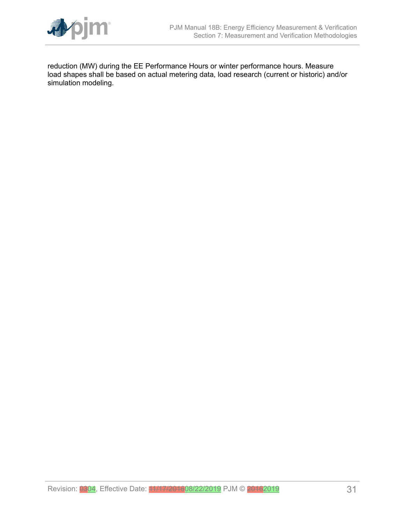

reduction (MW) during the EE Performance Hours or winter performance hours. Measure load shapes shall be based on actual metering data, load research (current or historic) and/or simulation modeling.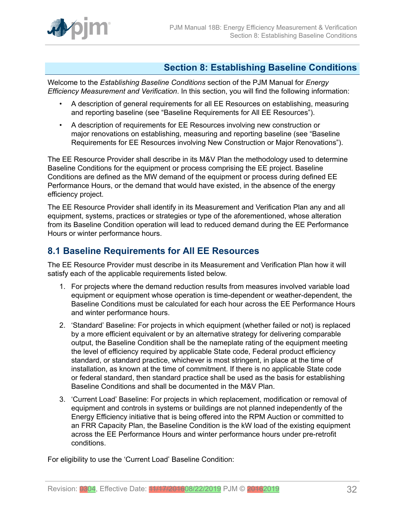

### <span id="page-31-0"></span>**Section 8: Establishing Baseline Conditions**

Welcome to the *Establishing Baseline Conditions* section of the PJM Manual for *Energy Efficiency Measurement and Verification*. In this section, you will find the following information:

- A description of general requirements for all EE Resources on establishing, measuring and reporting baseline (see "Baseline Requirements for All EE Resources").
- A description of requirements for EE Resources involving new construction or major renovations on establishing, measuring and reporting baseline (see "Baseline Requirements for EE Resources involving New Construction or Major Renovations").

The EE Resource Provider shall describe in its M&V Plan the methodology used to determine Baseline Conditions for the equipment or process comprising the EE project. Baseline Conditions are defined as the MW demand of the equipment or process during defined EE Performance Hours, or the demand that would have existed, in the absence of the energy efficiency project.

The EE Resource Provider shall identify in its Measurement and Verification Plan any and all equipment, systems, practices or strategies or type of the aforementioned, whose alteration from its Baseline Condition operation will lead to reduced demand during the EE Performance Hours or winter performance hours.

### <span id="page-31-1"></span>**8.1 Baseline Requirements for All EE Resources**

The EE Resource Provider must describe in its Measurement and Verification Plan how it will satisfy each of the applicable requirements listed below.

- 1. For projects where the demand reduction results from measures involved variable load equipment or equipment whose operation is time-dependent or weather-dependent, the Baseline Conditions must be calculated for each hour across the EE Performance Hours and winter performance hours.
- 2. 'Standard' Baseline: For projects in which equipment (whether failed or not) is replaced by a more efficient equivalent or by an alternative strategy for delivering comparable output, the Baseline Condition shall be the nameplate rating of the equipment meeting the level of efficiency required by applicable State code, Federal product efficiency standard, or standard practice, whichever is most stringent, in place at the time of installation, as known at the time of commitment. If there is no applicable State code or federal standard, then standard practice shall be used as the basis for establishing Baseline Conditions and shall be documented in the M&V Plan.
- 3. 'Current Load' Baseline: For projects in which replacement, modification or removal of equipment and controls in systems or buildings are not planned independently of the Energy Efficiency initiative that is being offered into the RPM Auction or committed to an FRR Capacity Plan, the Baseline Condition is the kW load of the existing equipment across the EE Performance Hours and winter performance hours under pre-retrofit conditions.

For eligibility to use the 'Current Load' Baseline Condition: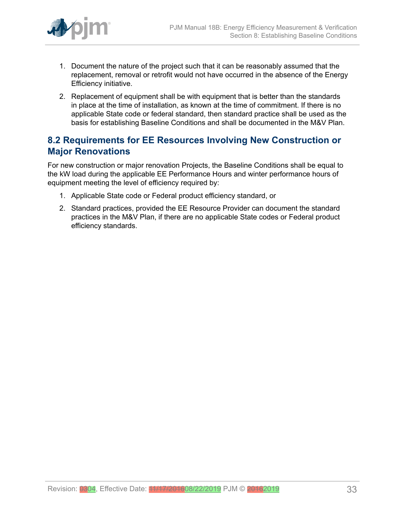

- 1. Document the nature of the project such that it can be reasonably assumed that the replacement, removal or retrofit would not have occurred in the absence of the Energy Efficiency initiative.
- 2. Replacement of equipment shall be with equipment that is better than the standards in place at the time of installation, as known at the time of commitment. If there is no applicable State code or federal standard, then standard practice shall be used as the basis for establishing Baseline Conditions and shall be documented in the M&V Plan.

### <span id="page-32-0"></span>**8.2 Requirements for EE Resources Involving New Construction or Major Renovations**

For new construction or major renovation Projects, the Baseline Conditions shall be equal to the kW load during the applicable EE Performance Hours and winter performance hours of equipment meeting the level of efficiency required by:

- 1. Applicable State code or Federal product efficiency standard, or
- 2. Standard practices, provided the EE Resource Provider can document the standard practices in the M&V Plan, if there are no applicable State codes or Federal product efficiency standards.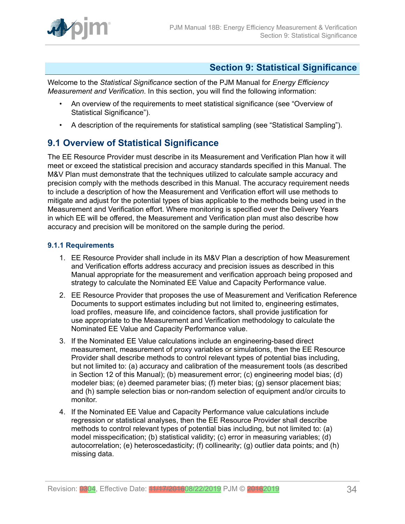

#### <span id="page-33-0"></span>**Section 9: Statistical Significance**

Welcome to the *Statistical Significance* section of the PJM Manual for *Energy Efficiency Measurement and Verification*. In this section, you will find the following information:

- An overview of the requirements to meet statistical significance (see "Overview of Statistical Significance").
- A description of the requirements for statistical sampling (see "Statistical Sampling").

# <span id="page-33-1"></span>**9.1 Overview of Statistical Significance**

The EE Resource Provider must describe in its Measurement and Verification Plan how it will meet or exceed the statistical precision and accuracy standards specified in this Manual. The M&V Plan must demonstrate that the techniques utilized to calculate sample accuracy and precision comply with the methods described in this Manual. The accuracy requirement needs to include a description of how the Measurement and Verification effort will use methods to mitigate and adjust for the potential types of bias applicable to the methods being used in the Measurement and Verification effort. Where monitoring is specified over the Delivery Years in which EE will be offered, the Measurement and Verification plan must also describe how accuracy and precision will be monitored on the sample during the period.

#### <span id="page-33-2"></span>**9.1.1 Requirements**

- 1. EE Resource Provider shall include in its M&V Plan a description of how Measurement and Verification efforts address accuracy and precision issues as described in this Manual appropriate for the measurement and verification approach being proposed and strategy to calculate the Nominated EE Value and Capacity Performance value.
- 2. EE Resource Provider that proposes the use of Measurement and Verification Reference Documents to support estimates including but not limited to, engineering estimates, load profiles, measure life, and coincidence factors, shall provide justification for use appropriate to the Measurement and Verification methodology to calculate the Nominated EE Value and Capacity Performance value.
- 3. If the Nominated EE Value calculations include an engineering-based direct measurement, measurement of proxy variables or simulations, then the EE Resource Provider shall describe methods to control relevant types of potential bias including, but not limited to: (a) accuracy and calibration of the measurement tools (as described in Section 12 of this Manual); (b) measurement error; (c) engineering model bias; (d) modeler bias; (e) deemed parameter bias; (f) meter bias; (g) sensor placement bias; and (h) sample selection bias or non-random selection of equipment and/or circuits to monitor.
- 4. If the Nominated EE Value and Capacity Performance value calculations include regression or statistical analyses, then the EE Resource Provider shall describe methods to control relevant types of potential bias including, but not limited to: (a) model misspecification; (b) statistical validity; (c) error in measuring variables; (d) autocorrelation; (e) heteroscedasticity; (f) collinearity; (g) outlier data points; and (h) missing data.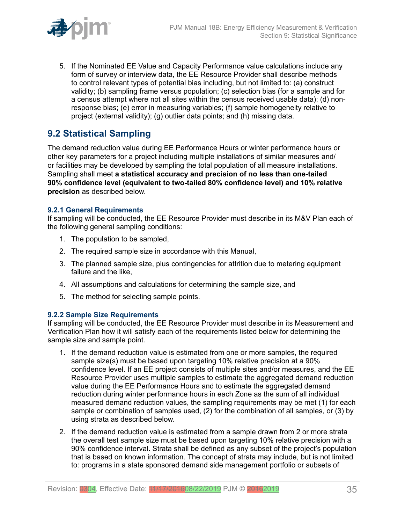

5. If the Nominated EE Value and Capacity Performance value calculations include any form of survey or interview data, the EE Resource Provider shall describe methods to control relevant types of potential bias including, but not limited to: (a) construct validity; (b) sampling frame versus population; (c) selection bias (for a sample and for a census attempt where not all sites within the census received usable data); (d) nonresponse bias; (e) error in measuring variables; (f) sample homogeneity relative to project (external validity); (g) outlier data points; and (h) missing data.

# <span id="page-34-0"></span>**9.2 Statistical Sampling**

The demand reduction value during EE Performance Hours or winter performance hours or other key parameters for a project including multiple installations of similar measures and/ or facilities may be developed by sampling the total population of all measure installations. Sampling shall meet **a statistical accuracy and precision of no less than one-tailed 90% confidence level (equivalent to two-tailed 80% confidence level) and 10% relative precision** as described below.

#### <span id="page-34-1"></span>**9.2.1 General Requirements**

If sampling will be conducted, the EE Resource Provider must describe in its M&V Plan each of the following general sampling conditions:

- 1. The population to be sampled,
- 2. The required sample size in accordance with this Manual,
- 3. The planned sample size, plus contingencies for attrition due to metering equipment failure and the like,
- 4. All assumptions and calculations for determining the sample size, and
- 5. The method for selecting sample points.

#### <span id="page-34-2"></span>**9.2.2 Sample Size Requirements**

If sampling will be conducted, the EE Resource Provider must describe in its Measurement and Verification Plan how it will satisfy each of the requirements listed below for determining the sample size and sample point.

- 1. If the demand reduction value is estimated from one or more samples, the required sample size(s) must be based upon targeting 10% relative precision at a 90% confidence level. If an EE project consists of multiple sites and/or measures, and the EE Resource Provider uses multiple samples to estimate the aggregated demand reduction value during the EE Performance Hours and to estimate the aggregated demand reduction during winter performance hours in each Zone as the sum of all individual measured demand reduction values, the sampling requirements may be met (1) for each sample or combination of samples used, (2) for the combination of all samples, or (3) by using strata as described below.
- 2. If the demand reduction value is estimated from a sample drawn from 2 or more strata the overall test sample size must be based upon targeting 10% relative precision with a 90% confidence interval. Strata shall be defined as any subset of the project's population that is based on known information. The concept of strata may include, but is not limited to: programs in a state sponsored demand side management portfolio or subsets of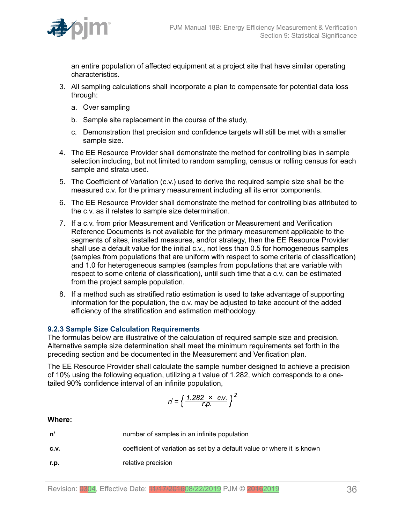

an entire population of affected equipment at a project site that have similar operating characteristics.

- 3. All sampling calculations shall incorporate a plan to compensate for potential data loss through:
	- a. Over sampling
	- b. Sample site replacement in the course of the study,
	- c. Demonstration that precision and confidence targets will still be met with a smaller sample size.
- 4. The EE Resource Provider shall demonstrate the method for controlling bias in sample selection including, but not limited to random sampling, census or rolling census for each sample and strata used.
- 5. The Coefficient of Variation (c.v.) used to derive the required sample size shall be the measured c.v. for the primary measurement including all its error components.
- 6. The EE Resource Provider shall demonstrate the method for controlling bias attributed to the c.v. as it relates to sample size determination.
- 7. If a c.v. from prior Measurement and Verification or Measurement and Verification Reference Documents is not available for the primary measurement applicable to the segments of sites, installed measures, and/or strategy, then the EE Resource Provider shall use a default value for the initial c.v., not less than 0.5 for homogeneous samples (samples from populations that are uniform with respect to some criteria of classification) and 1.0 for heterogeneous samples (samples from populations that are variable with respect to some criteria of classification), until such time that a c.v. can be estimated from the project sample population.
- 8. If a method such as stratified ratio estimation is used to take advantage of supporting information for the population, the c.v. may be adjusted to take account of the added efficiency of the stratification and estimation methodology.

#### <span id="page-35-0"></span>**9.2.3 Sample Size Calculation Requirements**

The formulas below are illustrative of the calculation of required sample size and precision. Alternative sample size determination shall meet the minimum requirements set forth in the preceding section and be documented in the Measurement and Verification plan.

The EE Resource Provider shall calculate the sample number designed to achieve a precision of 10% using the following equation, utilizing a t value of 1.282, which corresponds to a onetailed 90% confidence interval of an infinite population,

$$
n' = \left\{ \frac{1.282 \times \text{C.V.}}{r.p.} \right\}^2
$$

#### **Where:**

| n'   | number of samples in an infinite population                             |  |  |
|------|-------------------------------------------------------------------------|--|--|
| C.V. | coefficient of variation as set by a default value or where it is known |  |  |
| r.p. | relative precision                                                      |  |  |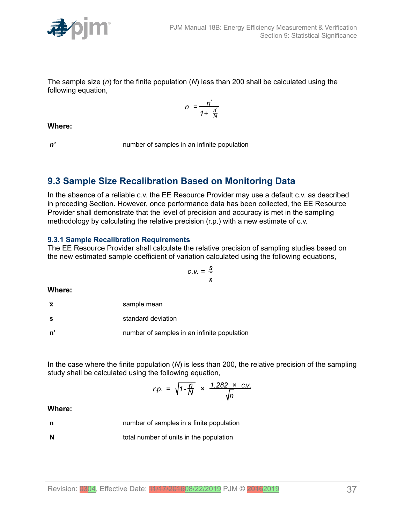

The sample size (*n*) for the finite population (*N*) less than 200 shall be calculated using the following equation,

$$
n = \frac{n'}{1 + \frac{n'}{N}}
$$

**Where:**

*n'* number of samples in an infinite population

### <span id="page-36-0"></span>**9.3 Sample Size Recalibration Based on Monitoring Data**

In the absence of a reliable c.v. the EE Resource Provider may use a default c.v. as described in preceding Section. However, once performance data has been collected, the EE Resource Provider shall demonstrate that the level of precision and accuracy is met in the sampling methodology by calculating the relative precision (r.p.) with a new estimate of c.v.

#### <span id="page-36-1"></span>**9.3.1 Sample Recalibration Requirements**

The EE Resource Provider shall calculate the relative precision of sampling studies based on the new estimated sample coefficient of variation calculated using the following equations,

$$
C.V. = \frac{S}{x}
$$

**Where:**

**s** standard deviation

**n'** number of samples in an infinite population

In the case where the finite population (*N*) is less than 200, the relative precision of the sampling study shall be calculated using the following equation,

$$
r.p. = \sqrt{1 - \frac{n}{N}} \times \frac{1.282 \times c.v.}{\sqrt{n}}
$$

#### **Where:**

**n number of samples in a finite population** 

**N** total number of units in the population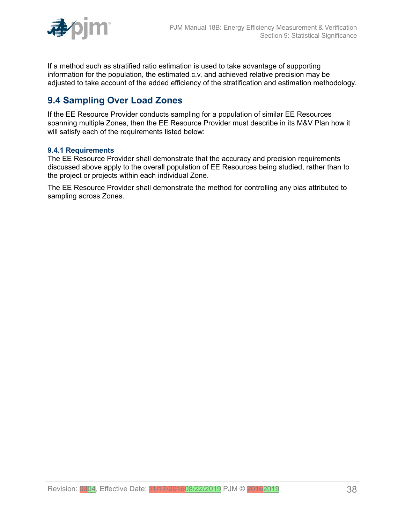

If a method such as stratified ratio estimation is used to take advantage of supporting information for the population, the estimated c.v. and achieved relative precision may be adjusted to take account of the added efficiency of the stratification and estimation methodology.

# <span id="page-37-0"></span>**9.4 Sampling Over Load Zones**

If the EE Resource Provider conducts sampling for a population of similar EE Resources spanning multiple Zones, then the EE Resource Provider must describe in its M&V Plan how it will satisfy each of the requirements listed below:

#### <span id="page-37-1"></span>**9.4.1 Requirements**

The EE Resource Provider shall demonstrate that the accuracy and precision requirements discussed above apply to the overall population of EE Resources being studied, rather than to the project or projects within each individual Zone.

The EE Resource Provider shall demonstrate the method for controlling any bias attributed to sampling across Zones.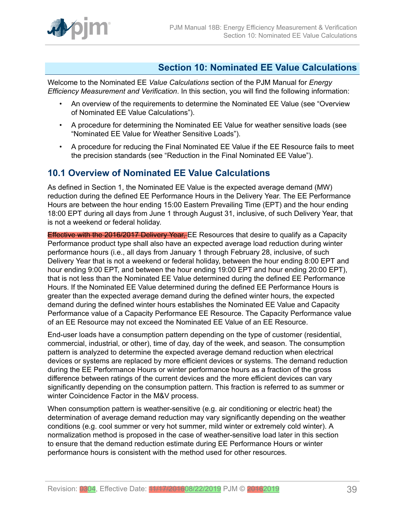

### <span id="page-38-0"></span>**Section 10: Nominated EE Value Calculations**

Welcome to the Nominated EE *Value Calculations* section of the PJM Manual for *Energy Efficiency Measurement and Verification*. In this section, you will find the following information:

- An overview of the requirements to determine the Nominated EE Value (see "Overview of Nominated EE Value Calculations").
- A procedure for determining the Nominated EE Value for weather sensitive loads (see "Nominated EE Value for Weather Sensitive Loads").
- A procedure for reducing the Final Nominated EE Value if the EE Resource fails to meet the precision standards (see "Reduction in the Final Nominated EE Value").

#### <span id="page-38-1"></span>**10.1 Overview of Nominated EE Value Calculations**

As defined in Section 1, the Nominated EE Value is the expected average demand (MW) reduction during the defined EE Performance Hours in the Delivery Year. The EE Performance Hours are between the hour ending 15:00 Eastern Prevailing Time (EPT) and the hour ending 18:00 EPT during all days from June 1 through August 31, inclusive, of such Delivery Year, that is not a weekend or federal holiday.

Effective with the 2016/2017 Delivery Year, EE Resources that desire to qualify as a Capacity Performance product type shall also have an expected average load reduction during winter performance hours (i.e., all days from January 1 through February 28, inclusive, of such Delivery Year that is not a weekend or federal holiday, between the hour ending 8:00 EPT and hour ending 9:00 EPT, and between the hour ending 19:00 EPT and hour ending 20:00 EPT), that is not less than the Nominated EE Value determined during the defined EE Performance Hours. If the Nominated EE Value determined during the defined EE Performance Hours is greater than the expected average demand during the defined winter hours, the expected demand during the defined winter hours establishes the Nominated EE Value and Capacity Performance value of a Capacity Performance EE Resource. The Capacity Performance value of an EE Resource may not exceed the Nominated EE Value of an EE Resource.

End-user loads have a consumption pattern depending on the type of customer (residential, commercial, industrial, or other), time of day, day of the week, and season. The consumption pattern is analyzed to determine the expected average demand reduction when electrical devices or systems are replaced by more efficient devices or systems. The demand reduction during the EE Performance Hours or winter performance hours as a fraction of the gross difference between ratings of the current devices and the more efficient devices can vary significantly depending on the consumption pattern. This fraction is referred to as summer or winter Coincidence Factor in the M&V process.

When consumption pattern is weather-sensitive (e.g. air conditioning or electric heat) the determination of average demand reduction may vary significantly depending on the weather conditions (e.g. cool summer or very hot summer, mild winter or extremely cold winter). A normalization method is proposed in the case of weather-sensitive load later in this section to ensure that the demand reduction estimate during EE Performance Hours or winter performance hours is consistent with the method used for other resources.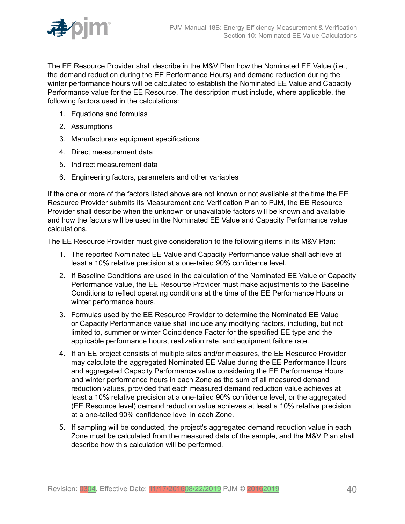

The EE Resource Provider shall describe in the M&V Plan how the Nominated EE Value (i.e., the demand reduction during the EE Performance Hours) and demand reduction during the winter performance hours will be calculated to establish the Nominated EE Value and Capacity Performance value for the EE Resource. The description must include, where applicable, the following factors used in the calculations:

- 1. Equations and formulas
- 2. Assumptions
- 3. Manufacturers equipment specifications
- 4. Direct measurement data
- 5. Indirect measurement data
- 6. Engineering factors, parameters and other variables

If the one or more of the factors listed above are not known or not available at the time the EE Resource Provider submits its Measurement and Verification Plan to PJM, the EE Resource Provider shall describe when the unknown or unavailable factors will be known and available and how the factors will be used in the Nominated EE Value and Capacity Performance value calculations.

The EE Resource Provider must give consideration to the following items in its M&V Plan:

- 1. The reported Nominated EE Value and Capacity Performance value shall achieve at least a 10% relative precision at a one-tailed 90% confidence level.
- 2. If Baseline Conditions are used in the calculation of the Nominated EE Value or Capacity Performance value, the EE Resource Provider must make adjustments to the Baseline Conditions to reflect operating conditions at the time of the EE Performance Hours or winter performance hours.
- 3. Formulas used by the EE Resource Provider to determine the Nominated EE Value or Capacity Performance value shall include any modifying factors, including, but not limited to, summer or winter Coincidence Factor for the specified EE type and the applicable performance hours, realization rate, and equipment failure rate.
- 4. If an EE project consists of multiple sites and/or measures, the EE Resource Provider may calculate the aggregated Nominated EE Value during the EE Performance Hours and aggregated Capacity Performance value considering the EE Performance Hours and winter performance hours in each Zone as the sum of all measured demand reduction values, provided that each measured demand reduction value achieves at least a 10% relative precision at a one-tailed 90% confidence level, or the aggregated (EE Resource level) demand reduction value achieves at least a 10% relative precision at a one-tailed 90% confidence level in each Zone.
- 5. If sampling will be conducted, the project's aggregated demand reduction value in each Zone must be calculated from the measured data of the sample, and the M&V Plan shall describe how this calculation will be performed.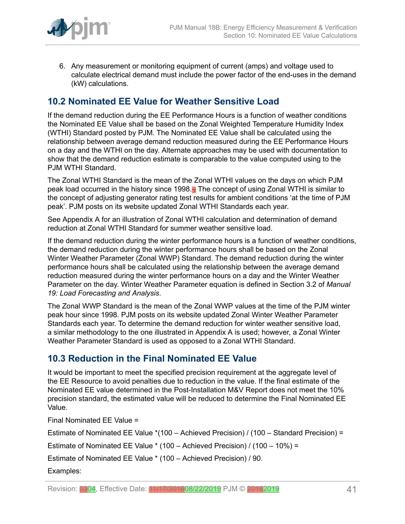

6. Any measurement or monitoring equipment of current (amps) and voltage used to calculate electrical demand must include the power factor of the end-uses in the demand (kW) calculations.

# <span id="page-40-0"></span>**10.2 Nominated EE Value for Weather Sensitive Load**

If the demand reduction during the EE Performance Hours is a function of weather conditions the Nominated EE Value shall be based on the Zonal Weighted Temperature Humidity Index (WTHI) Standard posted by PJM. The Nominated EE Value shall be calculated using the relationship between average demand reduction measured during the EE Performance Hours on a day and the WTHI on the day. Alternate approaches may be used with documentation to show that the demand reduction estimate is comparable to the value computed using to the PJM WTHI Standard.

The Zonal WTHI Standard is the mean of the Zonal WTHI values on the days on which PJM peak load occurred in the history since 1998. The concept of using Zonal WTHI is similar to the concept of adjusting generator rating test results for ambient conditions 'at the time of PJM peak'. PJM posts on its website updated Zonal WTHI Standards each year.

See Appendix A for an illustration of Zonal WTHI calculation and determination of demand reduction at Zonal WTHI Standard for summer weather sensitive load.

If the demand reduction during the winter performance hours is a function of weather conditions, the demand reduction during the winter performance hours shall be based on the Zonal Winter Weather Parameter (Zonal WWP) Standard. The demand reduction during the winter performance hours shall be calculated using the relationship between the average demand reduction measured during the winter performance hours on a day and the Winter Weather Parameter on the day. Winter Weather Parameter equation is defined in Section 3.2 of *Manual 19: Load Forecasting and Analysis*.

The Zonal WWP Standard is the mean of the Zonal WWP values at the time of the PJM winter peak hour since 1998. PJM posts on its website updated Zonal Winter Weather Parameter Standards each year. To determine the demand reduction for winter weather sensitive load, a similar methodology to the one illustrated in Appendix A is used; however, a Zonal Winter Weather Parameter Standard is used as opposed to a Zonal WTHI Standard.

### <span id="page-40-1"></span>**10.3 Reduction in the Final Nominated EE Value**

It would be important to meet the specified precision requirement at the aggregate level of the EE Resource to avoid penalties due to reduction in the value. If the final estimate of the Nominated EE value determined in the Post-Installation M&V Report does not meet the 10% precision standard, the estimated value will be reduced to determine the Final Nominated EE Value.

Final Nominated EE Value =

Estimate of Nominated EE Value \*(100 – Achieved Precision) / (100 – Standard Precision) =

Estimate of Nominated EE Value \* (100 – Achieved Precision) / (100 – 10%) =

Estimate of Nominated EE Value \* (100 – Achieved Precision) / 90.

Examples: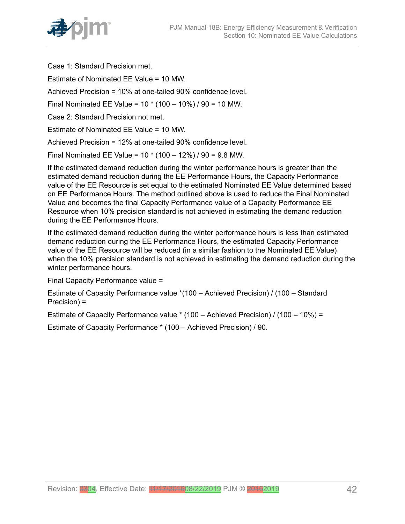

Case 1: Standard Precision met.

Estimate of Nominated EE Value = 10 MW.

Achieved Precision = 10% at one-tailed 90% confidence level.

Final Nominated EE Value = 10 \* (100 – 10%) / 90 = 10 MW.

Case 2: Standard Precision not met.

Estimate of Nominated EE Value = 10 MW.

Achieved Precision = 12% at one-tailed 90% confidence level.

Final Nominated EE Value = 10 \* (100 – 12%) / 90 = 9.8 MW.

If the estimated demand reduction during the winter performance hours is greater than the estimated demand reduction during the EE Performance Hours, the Capacity Performance value of the EE Resource is set equal to the estimated Nominated EE Value determined based on EE Performance Hours. The method outlined above is used to reduce the Final Nominated Value and becomes the final Capacity Performance value of a Capacity Performance EE Resource when 10% precision standard is not achieved in estimating the demand reduction during the EE Performance Hours.

If the estimated demand reduction during the winter performance hours is less than estimated demand reduction during the EE Performance Hours, the estimated Capacity Performance value of the EE Resource will be reduced (in a similar fashion to the Nominated EE Value) when the 10% precision standard is not achieved in estimating the demand reduction during the winter performance hours.

Final Capacity Performance value =

Estimate of Capacity Performance value \*(100 – Achieved Precision) / (100 – Standard Precision) =

Estimate of Capacity Performance value \* (100 – Achieved Precision) / (100 – 10%) =

Estimate of Capacity Performance \* (100 – Achieved Precision) / 90.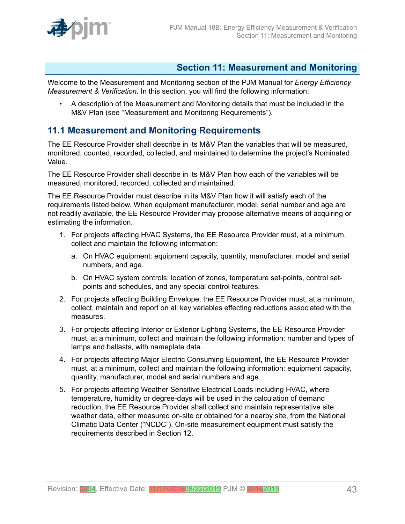

### <span id="page-42-0"></span>**Section 11: Measurement and Monitoring**

Welcome to the Measurement and Monitoring section of the PJM Manual for *Energy Efficiency Measurement & Verification*. In this section, you will find the following information:

• A description of the Measurement and Monitoring details that must be included in the M&V Plan (see "Measurement and Monitoring Requirements").

### <span id="page-42-1"></span>**11.1 Measurement and Monitoring Requirements**

The EE Resource Provider shall describe in its M&V Plan the variables that will be measured, monitored, counted, recorded, collected, and maintained to determine the project's Nominated Value.

The EE Resource Provider shall describe in its M&V Plan how each of the variables will be measured, monitored, recorded, collected and maintained.

The EE Resource Provider must describe in its M&V Plan how it will satisfy each of the requirements listed below. When equipment manufacturer, model, serial number and age are not readily available, the EE Resource Provider may propose alternative means of acquiring or estimating the information.

- 1. For projects affecting HVAC Systems, the EE Resource Provider must, at a minimum, collect and maintain the following information:
	- a. On HVAC equipment: equipment capacity, quantity, manufacturer, model and serial numbers, and age.
	- b. On HVAC system controls: location of zones, temperature set-points, control setpoints and schedules, and any special control features.
- 2. For projects affecting Building Envelope, the EE Resource Provider must, at a minimum, collect, maintain and report on all key variables effecting reductions associated with the measures.
- 3. For projects affecting Interior or Exterior Lighting Systems, the EE Resource Provider must, at a minimum, collect and maintain the following information: number and types of lamps and ballasts, with nameplate data.
- 4. For projects affecting Major Electric Consuming Equipment, the EE Resource Provider must, at a minimum, collect and maintain the following information: equipment capacity, quantity, manufacturer, model and serial numbers and age.
- 5. For projects affecting Weather Sensitive Electrical Loads including HVAC, where temperature, humidity or degree-days will be used in the calculation of demand reduction, the EE Resource Provider shall collect and maintain representative site weather data, either measured on-site or obtained for a nearby site, from the National Climatic Data Center ("NCDC"). On-site measurement equipment must satisfy the requirements described in Section 12.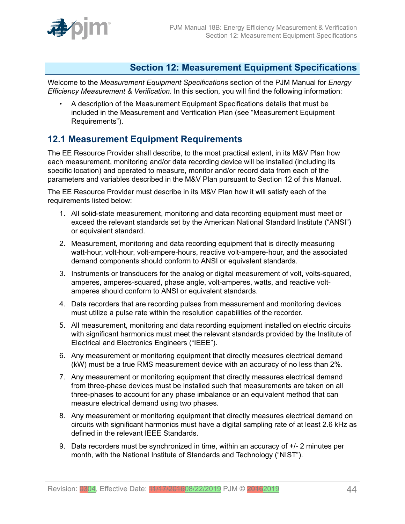

#### <span id="page-43-0"></span>**Section 12: Measurement Equipment Specifications**

Welcome to the *Measurement Equipment Specifications* section of the PJM Manual for *Energy Efficiency Measurement & Verification*. In this section, you will find the following information:

• A description of the Measurement Equipment Specifications details that must be included in the Measurement and Verification Plan (see "Measurement Equipment Requirements").

### <span id="page-43-1"></span>**12.1 Measurement Equipment Requirements**

The EE Resource Provider shall describe, to the most practical extent, in its M&V Plan how each measurement, monitoring and/or data recording device will be installed (including its specific location) and operated to measure, monitor and/or record data from each of the parameters and variables described in the M&V Plan pursuant to Section 12 of this Manual.

The EE Resource Provider must describe in its M&V Plan how it will satisfy each of the requirements listed below:

- 1. All solid-state measurement, monitoring and data recording equipment must meet or exceed the relevant standards set by the American National Standard Institute ("ANSI") or equivalent standard.
- 2. Measurement, monitoring and data recording equipment that is directly measuring watt-hour, volt-hour, volt-ampere-hours, reactive volt-ampere-hour, and the associated demand components should conform to ANSI or equivalent standards.
- 3. Instruments or transducers for the analog or digital measurement of volt, volts-squared, amperes, amperes-squared, phase angle, volt-amperes, watts, and reactive voltamperes should conform to ANSI or equivalent standards.
- 4. Data recorders that are recording pulses from measurement and monitoring devices must utilize a pulse rate within the resolution capabilities of the recorder.
- 5. All measurement, monitoring and data recording equipment installed on electric circuits with significant harmonics must meet the relevant standards provided by the Institute of Electrical and Electronics Engineers ("IEEE").
- 6. Any measurement or monitoring equipment that directly measures electrical demand (kW) must be a true RMS measurement device with an accuracy of no less than 2%.
- 7. Any measurement or monitoring equipment that directly measures electrical demand from three-phase devices must be installed such that measurements are taken on all three-phases to account for any phase imbalance or an equivalent method that can measure electrical demand using two phases.
- 8. Any measurement or monitoring equipment that directly measures electrical demand on circuits with significant harmonics must have a digital sampling rate of at least 2.6 kHz as defined in the relevant IEEE Standards.
- 9. Data recorders must be synchronized in time, within an accuracy of  $+/-2$  minutes per month, with the National Institute of Standards and Technology ("NIST").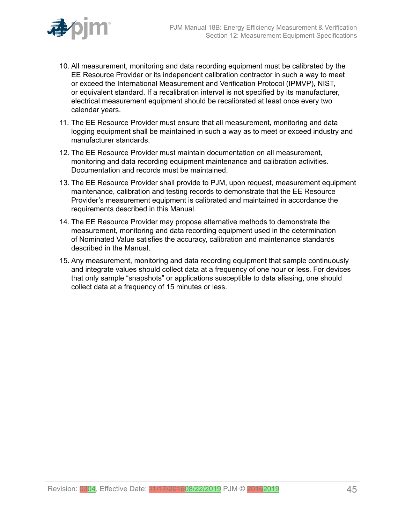

- 10. All measurement, monitoring and data recording equipment must be calibrated by the EE Resource Provider or its independent calibration contractor in such a way to meet or exceed the International Measurement and Verification Protocol (IPMVP), NIST, or equivalent standard. If a recalibration interval is not specified by its manufacturer, electrical measurement equipment should be recalibrated at least once every two calendar years.
- 11. The EE Resource Provider must ensure that all measurement, monitoring and data logging equipment shall be maintained in such a way as to meet or exceed industry and manufacturer standards.
- 12. The EE Resource Provider must maintain documentation on all measurement, monitoring and data recording equipment maintenance and calibration activities. Documentation and records must be maintained.
- 13. The EE Resource Provider shall provide to PJM, upon request, measurement equipment maintenance, calibration and testing records to demonstrate that the EE Resource Provider's measurement equipment is calibrated and maintained in accordance the requirements described in this Manual.
- 14. The EE Resource Provider may propose alternative methods to demonstrate the measurement, monitoring and data recording equipment used in the determination of Nominated Value satisfies the accuracy, calibration and maintenance standards described in the Manual.
- 15. Any measurement, monitoring and data recording equipment that sample continuously and integrate values should collect data at a frequency of one hour or less. For devices that only sample "snapshots" or applications susceptible to data aliasing, one should collect data at a frequency of 15 minutes or less.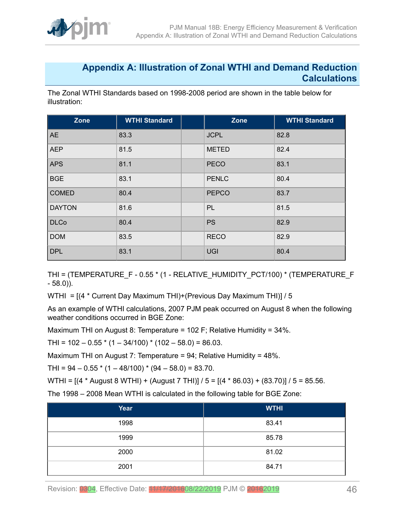

#### <span id="page-45-0"></span>**Appendix A: Illustration of Zonal WTHI and Demand Reduction Calculations**

The Zonal WTHI Standards based on 1998-2008 period are shown in the table below for illustration:

| Zone          | <b>WTHI Standard</b> | Zone         | <b>WTHI Standard</b> |
|---------------|----------------------|--------------|----------------------|
| <b>AE</b>     | 83.3                 | <b>JCPL</b>  | 82.8                 |
| <b>AEP</b>    | 81.5                 | <b>METED</b> | 82.4                 |
| <b>APS</b>    | 81.1                 | <b>PECO</b>  | 83.1                 |
| <b>BGE</b>    | 83.1                 | <b>PENLC</b> | 80.4                 |
| <b>COMED</b>  | 80.4                 | <b>PEPCO</b> | 83.7                 |
| <b>DAYTON</b> | 81.6                 | PL           | 81.5                 |
| <b>DLCo</b>   | 80.4                 | <b>PS</b>    | 82.9                 |
| <b>DOM</b>    | 83.5                 | <b>RECO</b>  | 82.9                 |
| <b>DPL</b>    | 83.1                 | <b>UGI</b>   | 80.4                 |

THI = (TEMPERATURE\_F - 0.55 \* (1 - RELATIVE\_HUMIDITY\_PCT/100) \* (TEMPERATURE\_F - 58.0)).

WTHI = [(4 \* Current Day Maximum THI)+(Previous Day Maximum THI)] / 5

As an example of WTHI calculations, 2007 PJM peak occurred on August 8 when the following weather conditions occurred in BGE Zone:

Maximum THI on August 8: Temperature = 102 F; Relative Humidity = 34%.

THI =  $102 - 0.55$  \*  $(1 - 34/100)$  \*  $(102 - 58.0)$  = 86.03.

Maximum THI on August 7: Temperature = 94; Relative Humidity = 48%.

THI =  $94 - 0.55$  \* (1 – 48/100) \* (94 – 58.0) = 83.70.

WTHI = [(4 \* August 8 WTHI) + (August 7 THI)] / 5 = [(4 \* 86.03) + (83.70)] / 5 = 85.56.

The 1998 – 2008 Mean WTHI is calculated in the following table for BGE Zone:

| Year | <b>WTHI</b> |
|------|-------------|
| 1998 | 83.41       |
| 1999 | 85.78       |
| 2000 | 81.02       |
| 2001 | 84.71       |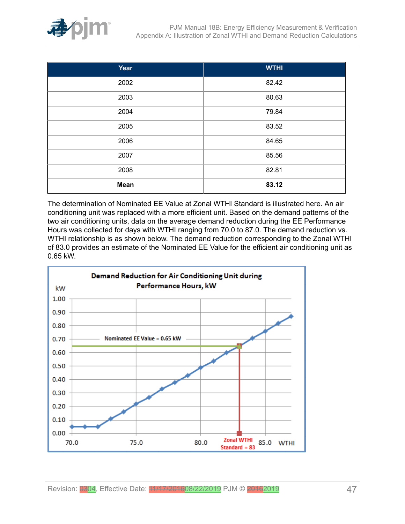

| Year        | <b>WTHI</b> |
|-------------|-------------|
| 2002        | 82.42       |
| 2003        | 80.63       |
| 2004        | 79.84       |
| 2005        | 83.52       |
| 2006        | 84.65       |
| 2007        | 85.56       |
| 2008        | 82.81       |
| <b>Mean</b> | 83.12       |

The determination of Nominated EE Value at Zonal WTHI Standard is illustrated here. An air conditioning unit was replaced with a more efficient unit. Based on the demand patterns of the two air conditioning units, data on the average demand reduction during the EE Performance Hours was collected for days with WTHI ranging from 70.0 to 87.0. The demand reduction vs. WTHI relationship is as shown below. The demand reduction corresponding to the Zonal WTHI of 83.0 provides an estimate of the Nominated EE Value for the efficient air conditioning unit as 0.65 kW.